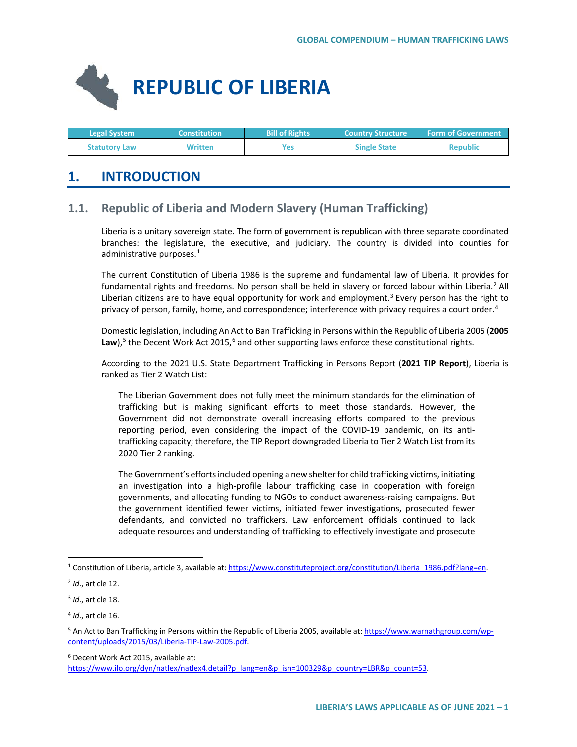

| <b>Legal System</b>  | <b>Constitution</b> | <b>Bill of Rights</b> | <b>Country Structure ا</b> | <b>Form of Government</b> |
|----------------------|---------------------|-----------------------|----------------------------|---------------------------|
| <b>Statutory Law</b> | Written             | Yes                   | <b>Single State</b>        | <b>Republic</b>           |

# **1. INTRODUCTION**

# **1.1. Republic of Liberia and Modern Slavery (Human Trafficking)**

Liberia is a unitary sovereign state. The form of government is republican with three separate coordinated branches: the legislature, the executive, and judiciary. The country is divided into counties for administrative purposes.<sup>[1](#page-0-0)</sup>

The current Constitution of Liberia 1986 is the supreme and fundamental law of Liberia. It provides for fundamental rights and freedoms. No person shall be held in slavery or forced labour within Liberia.<sup>[2](#page-0-1)</sup> All Liberian citizens are to have equal opportunity for work and employment.<sup>[3](#page-0-2)</sup> Every person has the right to privacy of person, family, home, and correspondence; interference with privacy requires a court order.<sup>[4](#page-0-3)</sup>

Domestic legislation, including An Act to Ban Trafficking in Persons within the Republic of Liberia 2005 (**2005**  Law),<sup>[5](#page-0-4)</sup> the Decent Work Act 2015,<sup>[6](#page-0-5)</sup> and other supporting laws enforce these constitutional rights.

According to the 2021 U.S. State Department Trafficking in Persons Report (**2021 TIP Report**), Liberia is ranked as Tier 2 Watch List:

The Liberian Government does not fully meet the minimum standards for the elimination of trafficking but is making significant efforts to meet those standards. However, the Government did not demonstrate overall increasing efforts compared to the previous reporting period, even considering the impact of the COVID-19 pandemic, on its antitrafficking capacity; therefore, the TIP Report downgraded Liberia to Tier 2 Watch List from its 2020 Tier 2 ranking.

The Government's efforts included opening a new shelter for child trafficking victims, initiating an investigation into a high-profile labour trafficking case in cooperation with foreign governments, and allocating funding to NGOs to conduct awareness-raising campaigns. But the government identified fewer victims, initiated fewer investigations, prosecuted fewer defendants, and convicted no traffickers. Law enforcement officials continued to lack adequate resources and understanding of trafficking to effectively investigate and prosecute

<span id="page-0-0"></span><sup>&</sup>lt;sup>1</sup> Constitution of Liberia, article 3, available at[: https://www.constituteproject.org/constitution/Liberia\\_1986.pdf?lang=en.](https://www.constituteproject.org/constitution/Liberia_1986.pdf?lang=en)

<span id="page-0-1"></span><sup>2</sup> *Id*., article 12.

<span id="page-0-2"></span><sup>3</sup> *Id*., article 18.

<span id="page-0-3"></span><sup>4</sup> *Id*., article 16.

<span id="page-0-4"></span><sup>&</sup>lt;sup>5</sup> An Act to Ban Trafficking in Persons within the Republic of Liberia 2005, available at[: https://www.warnathgroup.com/wp](https://www.warnathgroup.com/wp-content/uploads/2015/03/Liberia-TIP-Law-2005.pdf)[content/uploads/2015/03/Liberia-TIP-Law-2005.pdf.](https://www.warnathgroup.com/wp-content/uploads/2015/03/Liberia-TIP-Law-2005.pdf)

<span id="page-0-5"></span><sup>6</sup> Decent Work Act 2015, available at:

[https://www.ilo.org/dyn/natlex/natlex4.detail?p\\_lang=en&p\\_isn=100329&p\\_country=LBR&p\\_count=53.](https://www.ilo.org/dyn/natlex/natlex4.detail?p_lang=en&p_isn=100329&p_country=LBR&p_count=53)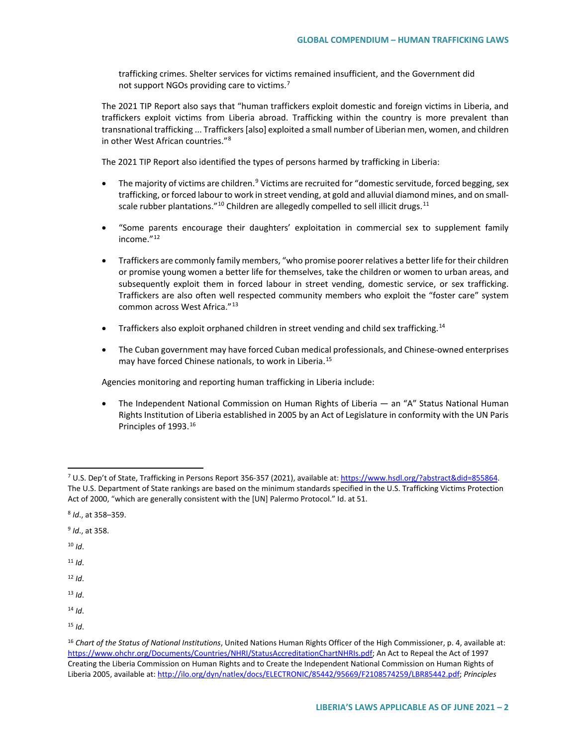trafficking crimes. Shelter services for victims remained insufficient, and the Government did not support NGOs providing care to victims.<sup>[7](#page-1-0)</sup>

The 2021 TIP Report also says that "human traffickers exploit domestic and foreign victims in Liberia, and traffickers exploit victims from Liberia abroad. Trafficking within the country is more prevalent than transnational trafficking ... Traffickers [also] exploited a small number of Liberian men, women, and children in other West African countries."[8](#page-1-1)

The 2021 TIP Report also identified the types of persons harmed by trafficking in Liberia:

- The majority of victims are children.<sup>[9](#page-1-2)</sup> Victims are recruited for "domestic servitude, forced begging, sex trafficking, or forced labour to work in street vending, at gold and alluvial diamond mines, and on small-scale rubber plantations."<sup>10</sup> Children are allegedly compelled to sell illicit drugs.<sup>[11](#page-1-4)</sup>
- "Some parents encourage their daughters' exploitation in commercial sex to supplement family income."[12](#page-1-5)
- Traffickers are commonly family members, "who promise poorer relatives a better life for their children or promise young women a better life for themselves, take the children or women to urban areas, and subsequently exploit them in forced labour in street vending, domestic service, or sex trafficking. Traffickers are also often well respected community members who exploit the "foster care" system common across West Africa."[13](#page-1-6)
- Traffickers also exploit orphaned children in street vending and child sex trafficking.[14](#page-1-7)
- The Cuban government may have forced Cuban medical professionals, and Chinese-owned enterprises may have forced Chinese nationals, to work in Liberia.[15](#page-1-8)

Agencies monitoring and reporting human trafficking in Liberia include:

• The Independent National Commission on Human Rights of Liberia — an "A" Status National Human Rights Institution of Liberia established in 2005 by an Act of Legislature in conformity with the UN Paris Principles of 1993.[16](#page-1-9)

<span id="page-1-2"></span><sup>9</sup> *Id*., at 358.

<span id="page-1-3"></span> $10$  *Id.* 

<span id="page-1-4"></span> $11$  *Id.* 

<span id="page-1-5"></span> $12$  *Id.* 

<span id="page-1-6"></span><sup>13</sup> *Id*.

<span id="page-1-7"></span> $14$  *Id.* 

<span id="page-1-8"></span> $15$  *Id.* 

<span id="page-1-0"></span> <sup>7</sup> U.S. Dep't of State, Trafficking in Persons Report 356-357 (2021), available at[: https://www.hsdl.org/?abstract&did=855864.](https://www.hsdl.org/?abstract&did=855864) The U.S. Department of State rankings are based on the minimum standards specified in the U.S. Trafficking Victims Protection Act of 2000, "which are generally consistent with the [UN] Palermo Protocol." Id. at 51.

<span id="page-1-1"></span><sup>8</sup> *Id*., at 358–359.

<span id="page-1-9"></span><sup>16</sup> *Chart of the Status of National Institutions*, United Nations Human Rights Officer of the High Commissioner, p. 4, available at: [https://www.ohchr.org/Documents/Countries/NHRI/StatusAccreditationChartNHRIs.pdf;](https://www.ohchr.org/Documents/Countries/NHRI/StatusAccreditationChartNHRIs.pdf) An Act to Repeal the Act of 1997 Creating the Liberia Commission on Human Rights and to Create the Independent National Commission on Human Rights of Liberia 2005, available at[: http://ilo.org/dyn/natlex/docs/ELECTRONIC/85442/95669/F2108574259/LBR85442.pdf;](http://ilo.org/dyn/natlex/docs/ELECTRONIC/85442/95669/F2108574259/LBR85442.pdf) *Principles*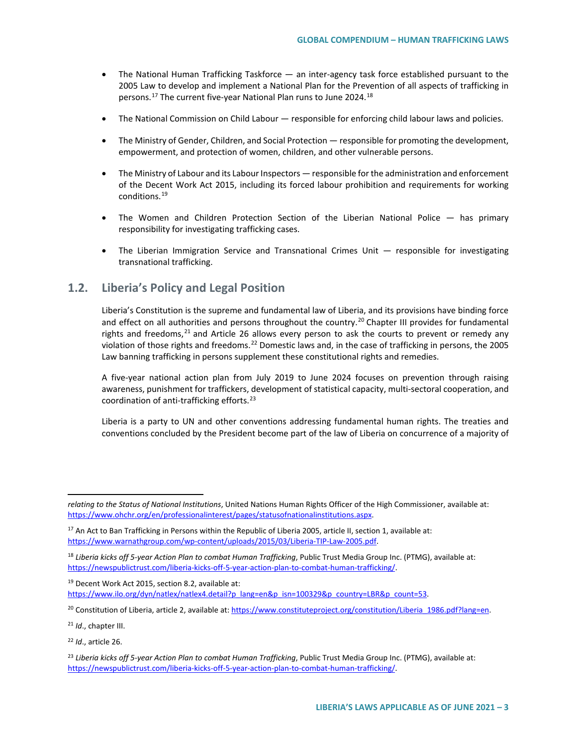- The National Human Trafficking Taskforce an inter-agency task force established pursuant to the 2005 Law to develop and implement a National Plan for the Prevention of all aspects of trafficking in persons.<sup>[17](#page-2-0)</sup> The current five-year National Plan runs to June 2024.<sup>[18](#page-2-1)</sup>
- The National Commission on Child Labour responsible for enforcing child labour laws and policies.
- The Ministry of Gender, Children, and Social Protection responsible for promoting the development, empowerment, and protection of women, children, and other vulnerable persons.
- The Ministry of Labour and its Labour Inspectors responsible for the administration and enforcement of the Decent Work Act 2015, including its forced labour prohibition and requirements for working conditions.[19](#page-2-2)
- The Women and Children Protection Section of the Liberian National Police  $-$  has primary responsibility for investigating trafficking cases.
- The Liberian Immigration Service and Transnational Crimes Unit responsible for investigating transnational trafficking.

## **1.2. Liberia's Policy and Legal Position**

Liberia's Constitution is the supreme and fundamental law of Liberia, and its provisions have binding force and effect on all authorities and persons throughout the country.<sup>[20](#page-2-3)</sup> Chapter III provides for fundamental rights and freedoms,  $21$  and Article 26 allows every person to ask the courts to prevent or remedy any violation of those rights and freedoms.<sup>[22](#page-2-5)</sup> Domestic laws and, in the case of trafficking in persons, the 2005 Law banning trafficking in persons supplement these constitutional rights and remedies.

A five-year national action plan from July 2019 to June 2024 focuses on prevention through raising awareness, punishment for traffickers, development of statistical capacity, multi-sectoral cooperation, and coordination of anti-trafficking efforts.<sup>[23](#page-2-6)</sup>

Liberia is a party to UN and other conventions addressing fundamental human rights. The treaties and conventions concluded by the President become part of the law of Liberia on concurrence of a majority of

<span id="page-2-2"></span><sup>19</sup> Decent Work Act 2015, section 8.2, available at:

[https://www.ilo.org/dyn/natlex/natlex4.detail?p\\_lang=en&p\\_isn=100329&p\\_country=LBR&p\\_count=53.](https://www.ilo.org/dyn/natlex/natlex4.detail?p_lang=en&p_isn=100329&p_country=LBR&p_count=53)

<span id="page-2-4"></span><sup>21</sup> *Id*., chapter III.

 $\overline{a}$ 

<span id="page-2-5"></span><sup>22</sup> *Id*., article 26.

*relating to the Status of National Institutions*, United Nations Human Rights Officer of the High Commissioner, available at: [https://www.ohchr.org/en/professionalinterest/pages/statusofnationalinstitutions.aspx.](https://www.ohchr.org/en/professionalinterest/pages/statusofnationalinstitutions.aspx) 

<span id="page-2-0"></span><sup>&</sup>lt;sup>17</sup> An Act to Ban Trafficking in Persons within the Republic of Liberia 2005, article II, section 1, available at: [https://www.warnathgroup.com/wp-content/uploads/2015/03/Liberia-TIP-Law-2005.pdf.](https://www.warnathgroup.com/wp-content/uploads/2015/03/Liberia-TIP-Law-2005.pdf)

<span id="page-2-1"></span><sup>&</sup>lt;sup>18</sup> Liberia kicks off 5-year Action Plan to combat Human Trafficking, Public Trust Media Group Inc. (PTMG), available at: [https://newspublictrust.com/liberia-kicks-off-5-year-action-plan-to-combat-human-trafficking/.](https://newspublictrust.com/liberia-kicks-off-5-year-action-plan-to-combat-human-trafficking/) 

<span id="page-2-3"></span><sup>&</sup>lt;sup>20</sup> Constitution of Liberia, article 2, available at[: https://www.constituteproject.org/constitution/Liberia\\_1986.pdf?lang=en.](https://www.constituteproject.org/constitution/Liberia_1986.pdf?lang=en)

<span id="page-2-6"></span><sup>&</sup>lt;sup>23</sup> Liberia kicks off 5-year Action Plan to combat Human Trafficking, Public Trust Media Group Inc. (PTMG), available at: [https://newspublictrust.com/liberia-kicks-off-5-year-action-plan-to-combat-human-trafficking/.](https://newspublictrust.com/liberia-kicks-off-5-year-action-plan-to-combat-human-trafficking/)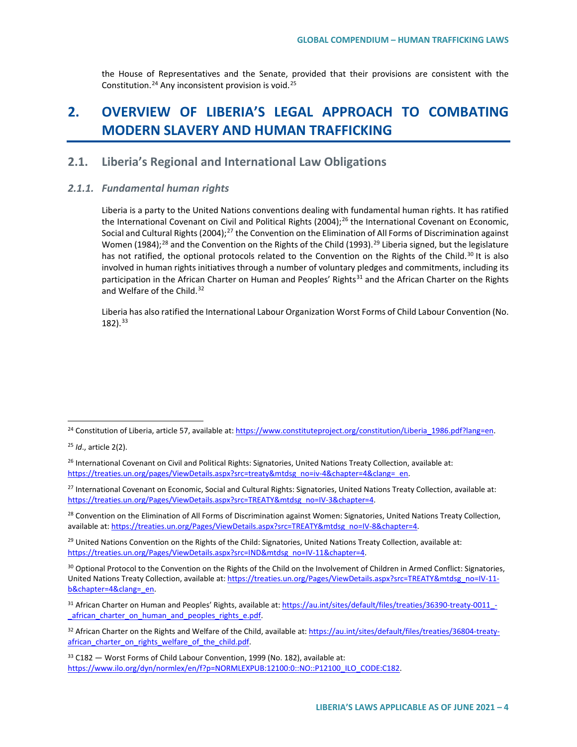the House of Representatives and the Senate, provided that their provisions are consistent with the Constitution.<sup>[24](#page-3-0)</sup> Any inconsistent provision is void.<sup>[25](#page-3-1)</sup>

# **2. OVERVIEW OF LIBERIA'S LEGAL APPROACH TO COMBATING MODERN SLAVERY AND HUMAN TRAFFICKING**

### **2.1. Liberia's Regional and International Law Obligations**

#### *2.1.1. Fundamental human rights*

Liberia is a party to the United Nations conventions dealing with fundamental human rights. It has ratified the International Covenant on Civil and Political Rights  $(2004)<sup>26</sup>$  $(2004)<sup>26</sup>$  $(2004)<sup>26</sup>$  the International Covenant on Economic, Social and Cultural Rights (2004);<sup>[27](#page-3-3)</sup> the Convention on the Elimination of All Forms of Discrimination against Women (1984);<sup>[28](#page-3-4)</sup> and the Convention on the Rights of the Child (1993).<sup>[29](#page-3-5)</sup> Liberia signed, but the legislature has not ratified, the optional protocols related to the Convention on the Rights of the Child.<sup>[30](#page-3-6)</sup> It is also involved in human rights initiatives through a number of voluntary pledges and commitments, including its participation in the African Charter on Human and Peoples' Rights<sup>[31](#page-3-7)</sup> and the African Charter on the Rights and Welfare of the Child.<sup>[32](#page-3-8)</sup>

Liberia has also ratified the International Labour Organization Worst Forms of Child Labour Convention (No.  $182$ ).  $33$ 

<span id="page-3-0"></span><sup>&</sup>lt;sup>24</sup> Constitution of Liberia, article 57, available at[: https://www.constituteproject.org/constitution/Liberia\\_1986.pdf?lang=en.](https://www.constituteproject.org/constitution/Liberia_1986.pdf?lang=en)

<span id="page-3-1"></span><sup>25</sup> *Id*., article 2(2).

<span id="page-3-2"></span><sup>&</sup>lt;sup>26</sup> International Covenant on Civil and Political Rights: Signatories, United Nations Treaty Collection, available at: [https://treaties.un.org/pages/ViewDetails.aspx?src=treaty&mtdsg\\_no=iv-4&chapter=4&clang=\\_en.](https://treaties.un.org/pages/ViewDetails.aspx?src=treaty&mtdsg_no=iv-4&chapter=4&clang=_en)

<span id="page-3-3"></span><sup>&</sup>lt;sup>27</sup> International Covenant on Economic, Social and Cultural Rights: Signatories, United Nations Treaty Collection, available at: https://treaties.un.org/Pages/ViewDetails.aspx?src=TREATY&mtdsg\_no=IV-3&chapter=4.

<span id="page-3-4"></span><sup>&</sup>lt;sup>28</sup> Convention on the Elimination of All Forms of Discrimination against Women: Signatories, United Nations Treaty Collection, available at[: https://treaties.un.org/Pages/ViewDetails.aspx?src=TREATY&mtdsg\\_no=IV-8&chapter=4.](https://treaties.un.org/Pages/ViewDetails.aspx?src=TREATY&mtdsg_no=IV-8&chapter=4)

<span id="page-3-5"></span> $29$  United Nations Convention on the Rights of the Child: Signatories, United Nations Treaty Collection, available at: [https://treaties.un.org/Pages/ViewDetails.aspx?src=IND&mtdsg\\_no=IV-11&chapter=4.](https://treaties.un.org/Pages/ViewDetails.aspx?src=IND&mtdsg_no=IV-11&chapter=4)

<span id="page-3-6"></span><sup>&</sup>lt;sup>30</sup> Optional Protocol to the Convention on the Rights of the Child on the Involvement of Children in Armed Conflict: Signatories, United Nations Treaty Collection, available at[: https://treaties.un.org/Pages/ViewDetails.aspx?src=TREATY&mtdsg\\_no=IV-11](https://treaties.un.org/Pages/ViewDetails.aspx?src=TREATY&mtdsg_no=IV-11-b&chapter=4&clang=_en) b&chapter=4&clang= en.

<span id="page-3-7"></span><sup>31</sup> African Charter on Human and Peoples' Rights, available at: https://au.int/sites/default/files/treaties/36390-treaty-0011 african charter on human and peoples rights e.pdf.

<span id="page-3-8"></span><sup>32</sup> African Charter on the Rights and Welfare of the Child, available at: [https://au.int/sites/default/files/treaties/36804-treaty](https://au.int/sites/default/files/treaties/36804-treaty-african_charter_on_rights_welfare_of_the_child.pdf)african\_charter\_on\_rights\_welfare\_of\_the\_child.pdf.

<span id="page-3-9"></span><sup>33</sup> C182 – Worst Forms of Child Labour Convention, 1999 (No. 182), available at: https://www.ilo.org/dyn/normlex/en/f?p=NORMLEXPUB:12100:0::NO::P12100\_ILO\_CODE:C182.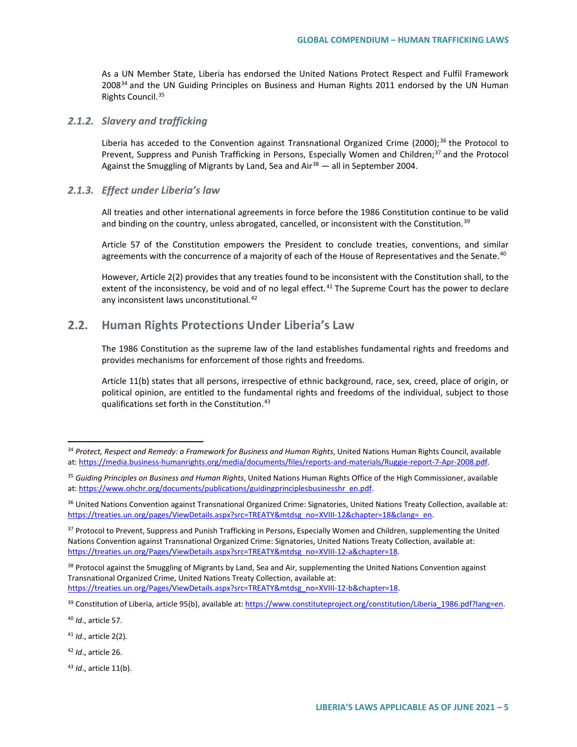As a UN Member State, Liberia has endorsed the United Nations Protect Respect and Fulfil Framework 2008<sup>[34](#page-4-0)</sup> and the UN Guiding Principles on Business and Human Rights 2011 endorsed by the UN Human Rights Council.[35](#page-4-1)

#### *2.1.2. Slavery and trafficking*

Liberia has acceded to the Convention against Transnational Organized Crime (2000);<sup>[36](#page-4-2)</sup> the Protocol to Prevent, Suppress and Punish Trafficking in Persons, Especially Women and Children;<sup>[37](#page-4-3)</sup> and the Protocol Against the Smuggling of Migrants by Land, Sea and Air<sup>[38](#page-4-4)</sup> — all in September 2004.

#### *2.1.3. Effect under Liberia's law*

All treaties and other international agreements in force before the 1986 Constitution continue to be valid and binding on the country, unless abrogated, cancelled, or inconsistent with the Constitution.<sup>[39](#page-4-5)</sup>

Article 57 of the Constitution empowers the President to conclude treaties, conventions, and similar agreements with the concurrence of a majority of each of the House of Representatives and the Senate.<sup>[40](#page-4-6)</sup>

However, Article 2(2) provides that any treaties found to be inconsistent with the Constitution shall, to the extent of the inconsistency, be void and of no legal effect.<sup>[41](#page-4-7)</sup> The Supreme Court has the power to declare any inconsistent laws unconstitutional.<sup>[42](#page-4-8)</sup>

## **2.2. Human Rights Protections Under Liberia's Law**

The 1986 Constitution as the supreme law of the land establishes fundamental rights and freedoms and provides mechanisms for enforcement of those rights and freedoms.

Article 11(b) states that all persons, irrespective of ethnic background, race, sex, creed, place of origin, or political opinion, are entitled to the fundamental rights and freedoms of the individual, subject to those qualifications set forth in the Constitution.[43](#page-4-9)

[https://treaties.un.org/Pages/ViewDetails.aspx?src=TREATY&mtdsg\\_no=XVIII-12-b&chapter=18.](https://treaties.un.org/Pages/ViewDetails.aspx?src=TREATY&mtdsg_no=XVIII-12-b&chapter=18) 

<span id="page-4-6"></span><sup>40</sup> *Id*., article 57.

<span id="page-4-7"></span><sup>41</sup> *Id*., article 2(2).

<span id="page-4-8"></span><sup>42</sup> *Id*., article 26.

<span id="page-4-9"></span><sup>43</sup> *Id*., article 11(b).

<span id="page-4-0"></span> <sup>34</sup> *Protect, Respect and Remedy: a Framework for Business and Human Rights*, United Nations Human Rights Council, available at: [https://media.business-humanrights.org/media/documents/files/reports-and-materials/Ruggie-report-7-Apr-2008.pdf.](https://media.business-humanrights.org/media/documents/files/reports-and-materials/Ruggie-report-7-Apr-2008.pdf) 

<span id="page-4-1"></span><sup>35</sup> *Guiding Principles on Business and Human Rights*, United Nations Human Rights Office of the High Commissioner, available at: [https://www.ohchr.org/documents/publications/guidingprinciplesbusinesshr\\_en.pdf.](https://www.ohchr.org/documents/publications/guidingprinciplesbusinesshr_en.pdf) 

<span id="page-4-2"></span><sup>&</sup>lt;sup>36</sup> United Nations Convention against Transnational Organized Crime: Signatories, United Nations Treaty Collection, available at: https://treaties.un.org/pages/ViewDetails.aspx?src=TREATY&mtdsg\_no=XVIII-12&chapter=18&clang=\_en.

<span id="page-4-3"></span><sup>&</sup>lt;sup>37</sup> Protocol to Prevent, Suppress and Punish Trafficking in Persons, Especially Women and Children, supplementing the United Nations Convention against Transnational Organized Crime: Signatories, United Nations Treaty Collection, available at: [https://treaties.un.org/Pages/ViewDetails.aspx?src=TREATY&mtdsg\\_no=XVIII-12-a&chapter=18.](https://treaties.un.org/Pages/ViewDetails.aspx?src=TREATY&mtdsg_no=XVIII-12-a&chapter=18)

<span id="page-4-4"></span><sup>38</sup> Protocol against the Smuggling of Migrants by Land, Sea and Air, supplementing the United Nations Convention against Transnational Organized Crime, United Nations Treaty Collection, available at:

<span id="page-4-5"></span><sup>39</sup> Constitution of Liberia, article 95(b), available at[: https://www.constituteproject.org/constitution/Liberia\\_1986.pdf?lang=en.](https://www.constituteproject.org/constitution/Liberia_1986.pdf?lang=en)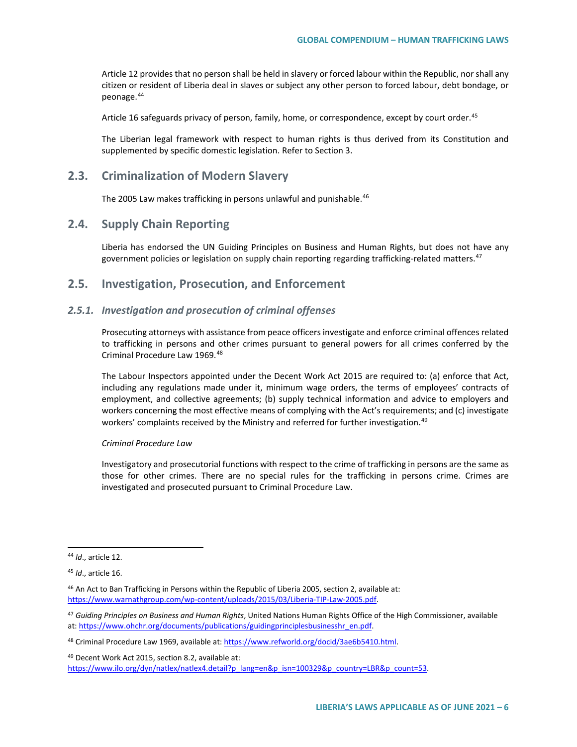Article 12 provides that no person shall be held in slavery or forced labour within the Republic, nor shall any citizen or resident of Liberia deal in slaves or subject any other person to forced labour, debt bondage, or peonage.[44](#page-5-0)

Article 16 safeguards privacy of person, family, home, or correspondence, except by court order.<sup>[45](#page-5-1)</sup>

The Liberian legal framework with respect to human rights is thus derived from its Constitution and supplemented by specific domestic legislation. Refer to Section 3.

# **2.3. Criminalization of Modern Slavery**

The 2005 Law makes trafficking in persons unlawful and punishable.<sup>[46](#page-5-2)</sup>

## **2.4. Supply Chain Reporting**

Liberia has endorsed the UN Guiding Principles on Business and Human Rights, but does not have any government policies or legislation on supply chain reporting regarding trafficking-related matters.<sup>[47](#page-5-3)</sup>

## **2.5. Investigation, Prosecution, and Enforcement**

#### *2.5.1. Investigation and prosecution of criminal offenses*

Prosecuting attorneys with assistance from peace officers investigate and enforce criminal offences related to trafficking in persons and other crimes pursuant to general powers for all crimes conferred by the Criminal Procedure Law 1969.[48](#page-5-4)

The Labour Inspectors appointed under the Decent Work Act 2015 are required to: (a) enforce that Act, including any regulations made under it, minimum wage orders, the terms of employees' contracts of employment, and collective agreements; (b) supply technical information and advice to employers and workers concerning the most effective means of complying with the Act's requirements; and (c) investigate workers' complaints received by the Ministry and referred for further investigation.<sup>[49](#page-5-5)</sup>

#### *Criminal Procedure Law*

Investigatory and prosecutorial functions with respect to the crime of trafficking in persons are the same as those for other crimes. There are no special rules for the trafficking in persons crime. Crimes are investigated and prosecuted pursuant to Criminal Procedure Law.

<span id="page-5-0"></span> <sup>44</sup> *Id*., article 12.

<span id="page-5-1"></span><sup>45</sup> *Id*., article 16.

<span id="page-5-2"></span><sup>46</sup> An Act to Ban Trafficking in Persons within the Republic of Liberia 2005, section 2, available at: [https://www.warnathgroup.com/wp-content/uploads/2015/03/Liberia-TIP-Law-2005.pdf.](https://www.warnathgroup.com/wp-content/uploads/2015/03/Liberia-TIP-Law-2005.pdf)

<span id="page-5-3"></span><sup>47</sup> *Guiding Principles on Business and Human Rights*, United Nations Human Rights Office of the High Commissioner, available at: [https://www.ohchr.org/documents/publications/guidingprinciplesbusinesshr\\_en.pdf.](https://www.ohchr.org/documents/publications/guidingprinciplesbusinesshr_en.pdf)

<span id="page-5-4"></span><sup>48</sup> Criminal Procedure Law 1969, available at[: https://www.refworld.org/docid/3ae6b5410.html.](https://www.refworld.org/docid/3ae6b5410.html)

<span id="page-5-5"></span><sup>49</sup> Decent Work Act 2015, section 8.2, available at: [https://www.ilo.org/dyn/natlex/natlex4.detail?p\\_lang=en&p\\_isn=100329&p\\_country=LBR&p\\_count=53.](https://www.ilo.org/dyn/natlex/natlex4.detail?p_lang=en&p_isn=100329&p_country=LBR&p_count=53)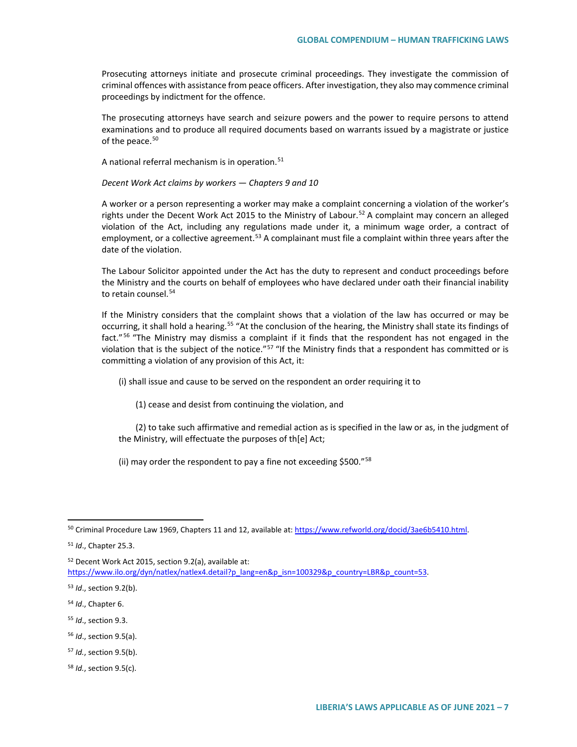Prosecuting attorneys initiate and prosecute criminal proceedings. They investigate the commission of criminal offences with assistance from peace officers. After investigation, they also may commence criminal proceedings by indictment for the offence.

The prosecuting attorneys have search and seizure powers and the power to require persons to attend examinations and to produce all required documents based on warrants issued by a magistrate or justice of the peace.<sup>[50](#page-6-0)</sup>

A national referral mechanism is in operation.<sup>[51](#page-6-1)</sup>

*Decent Work Act claims by workers* — *Chapters 9 and 10*

A worker or a person representing a worker may make a complaint concerning a violation of the worker's rights under the Decent Work Act 2015 to the Ministry of Labour.<sup>[52](#page-6-2)</sup> A complaint may concern an alleged violation of the Act, including any regulations made under it, a minimum wage order, a contract of employment, or a collective agreement.<sup>[53](#page-6-3)</sup> A complainant must file a complaint within three years after the date of the violation.

The Labour Solicitor appointed under the Act has the duty to represent and conduct proceedings before the Ministry and the courts on behalf of employees who have declared under oath their financial inability to retain counsel.<sup>[54](#page-6-4)</sup>

If the Ministry considers that the complaint shows that a violation of the law has occurred or may be occurring, it shall hold a hearing.<sup>[55](#page-6-5)</sup> "At the conclusion of the hearing, the Ministry shall state its findings of fact."<sup>[56](#page-6-6)</sup> "The Ministry may dismiss a complaint if it finds that the respondent has not engaged in the violation that is the subject of the notice."<sup>[57](#page-6-7)</sup> "If the Ministry finds that a respondent has committed or is committing a violation of any provision of this Act, it:

(i) shall issue and cause to be served on the respondent an order requiring it to

(1) cease and desist from continuing the violation, and

(2) to take such affirmative and remedial action as is specified in the law or as, in the judgment of the Ministry, will effectuate the purposes of th[e] Act;

(ii) may order the respondent to pay a fine not exceeding \$500."[58](#page-6-8)

<span id="page-6-2"></span><sup>52</sup> Decent Work Act 2015, section 9.2(a), available at:

- <span id="page-6-5"></span><sup>55</sup> *Id*., section 9.3.
- <span id="page-6-6"></span><sup>56</sup> *Id*., section 9.5(a).

<span id="page-6-7"></span><sup>57</sup> *Id.*, section 9.5(b).

<span id="page-6-8"></span><sup>58</sup> *Id.*, section 9.5(c).

<span id="page-6-0"></span><sup>&</sup>lt;sup>50</sup> Criminal Procedure Law 1969, Chapters 11 and 12, available at: [https://www.refworld.org/docid/3ae6b5410.html.](https://www.refworld.org/docid/3ae6b5410.html)

<span id="page-6-1"></span><sup>51</sup> *Id*., Chapter 25.3.

[https://www.ilo.org/dyn/natlex/natlex4.detail?p\\_lang=en&p\\_isn=100329&p\\_country=LBR&p\\_count=53.](https://www.ilo.org/dyn/natlex/natlex4.detail?p_lang=en&p_isn=100329&p_country=LBR&p_count=53)

<span id="page-6-3"></span><sup>53</sup> *Id*., section 9.2(b).

<span id="page-6-4"></span><sup>54</sup> *Id*., Chapter 6.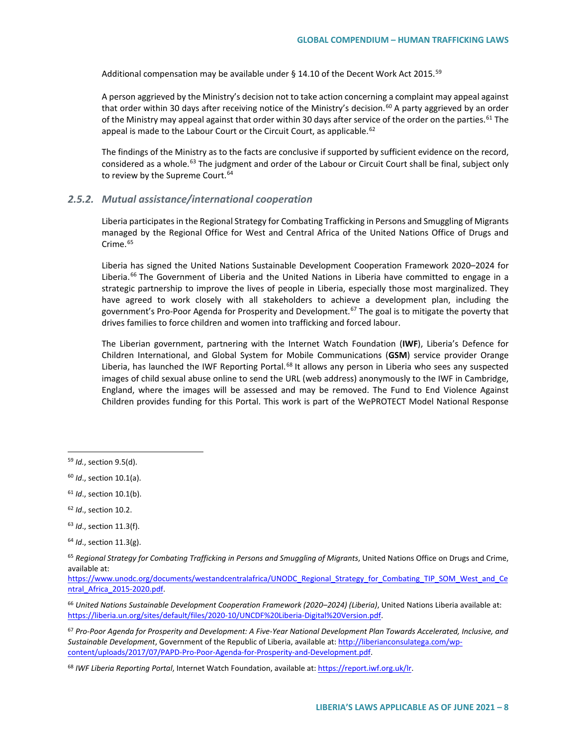Additional compensation may be available under § 14.10 of the Decent Work Act 2015.<sup>[59](#page-7-0)</sup>

A person aggrieved by the Ministry's decision not to take action concerning a complaint may appeal against that order within 30 days after receiving notice of the Ministry's decision.<sup>[60](#page-7-1)</sup> A party aggrieved by an order of the Ministry may appeal against that order within 30 days after service of the order on the parties.<sup>[61](#page-7-2)</sup> The appeal is made to the Labour Court or the Circuit Court, as applicable.<sup>[62](#page-7-3)</sup>

The findings of the Ministry as to the facts are conclusive if supported by sufficient evidence on the record, considered as a whole.<sup>[63](#page-7-4)</sup> The judgment and order of the Labour or Circuit Court shall be final, subject only to review by the Supreme Court.<sup>[64](#page-7-5)</sup>

#### *2.5.2. Mutual assistance/international cooperation*

Liberia participates in the Regional Strategy for Combating Trafficking in Persons and Smuggling of Migrants managed by the Regional Office for West and Central Africa of the United Nations Office of Drugs and Crime. $65$ 

Liberia has signed the United Nations Sustainable Development Cooperation Framework 2020–2024 for Liberia.<sup>[66](#page-7-7)</sup> The Government of Liberia and the United Nations in Liberia have committed to engage in a strategic partnership to improve the lives of people in Liberia, especially those most marginalized. They have agreed to work closely with all stakeholders to achieve a development plan, including the government's Pro-Poor Agenda for Prosperity and Development.<sup>[67](#page-7-8)</sup> The goal is to mitigate the poverty that drives families to force children and women into trafficking and forced labour.

The Liberian government, partnering with the Internet Watch Foundation (**IWF**), Liberia's Defence for Children International, and Global System for Mobile Communications (**GSM**) service provider Orange Liberia, has launched the IWF Reporting Portal.<sup>[68](#page-7-9)</sup> It allows any person in Liberia who sees any suspected images of child sexual abuse online to send the URL (web address) anonymously to the IWF in Cambridge, England, where the images will be assessed and may be removed. The Fund to End Violence Against Children provides funding for this Portal. This work is part of the WePROTECT Model National Response

- <span id="page-7-3"></span><sup>62</sup> *Id*., section 10.2.
- <span id="page-7-4"></span><sup>63</sup> *Id*., section 11.3(f).

<span id="page-7-8"></span><sup>67</sup> *Pro-Poor Agenda for Prosperity and Development: A Five-Year National Development Plan Towards Accelerated, Inclusive, and Sustainable Development*, Government of the Republic of Liberia, available at[: http://liberianconsulatega.com/wp](http://liberianconsulatega.com/wp-content/uploads/2017/07/PAPD-Pro-Poor-Agenda-for-Prosperity-and-Development.pdf)[content/uploads/2017/07/PAPD-Pro-Poor-Agenda-for-Prosperity-and-Development.pdf.](http://liberianconsulatega.com/wp-content/uploads/2017/07/PAPD-Pro-Poor-Agenda-for-Prosperity-and-Development.pdf) 

<span id="page-7-0"></span> <sup>59</sup> *Id.*, section 9.5(d).

<span id="page-7-1"></span><sup>60</sup> *Id*., section 10.1(a).

<span id="page-7-2"></span><sup>61</sup> *Id*., section 10.1(b).

<span id="page-7-5"></span><sup>64</sup> *Id*., section 11.3(g).

<span id="page-7-6"></span><sup>&</sup>lt;sup>65</sup> Regional Strategy for Combating Trafficking in Persons and Smuggling of Migrants, United Nations Office on Drugs and Crime, available at:

[https://www.unodc.org/documents/westandcentralafrica/UNODC\\_Regional\\_Strategy\\_for\\_Combating\\_TIP\\_SOM\\_West\\_and\\_Ce](https://www.unodc.org/documents/westandcentralafrica/UNODC_Regional_Strategy_for_Combating_TIP_SOM_West_and_Central_Africa_2015-2020.pdf) [ntral\\_Africa\\_2015-2020.pdf.](https://www.unodc.org/documents/westandcentralafrica/UNODC_Regional_Strategy_for_Combating_TIP_SOM_West_and_Central_Africa_2015-2020.pdf)

<span id="page-7-7"></span><sup>66</sup> *United Nations Sustainable Development Cooperation Framework (2020–2024) (Liberia)*, United Nations Liberia available at: [https://liberia.un.org/sites/default/files/2020-10/UNCDF%20Liberia-Digital%20Version.pdf.](https://liberia.un.org/sites/default/files/2020-10/UNCDF%20Liberia-Digital%20Version.pdf) 

<span id="page-7-9"></span><sup>68</sup> *IWF Liberia Reporting Portal*, Internet Watch Foundation, available at[: https://report.iwf.org.uk/lr.](https://report.iwf.org.uk/lr)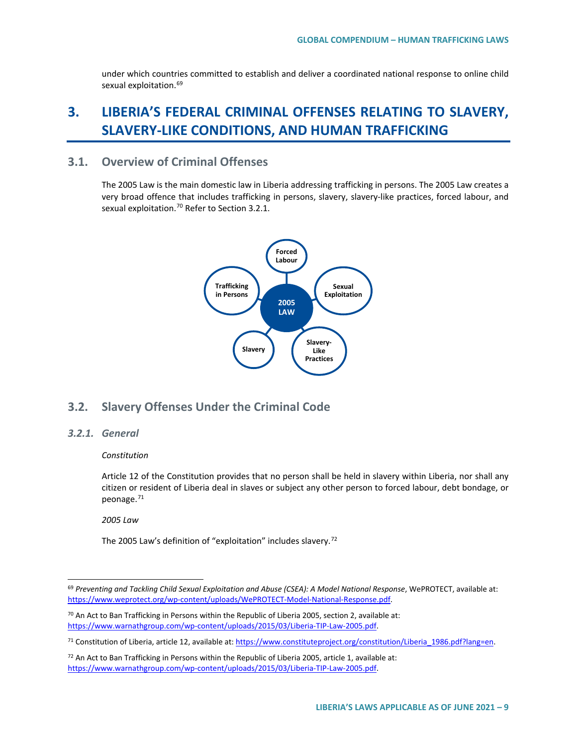under which countries committed to establish and deliver a coordinated national response to online child sexual exploitation.<sup>[69](#page-8-0)</sup>

# **3. LIBERIA'S FEDERAL CRIMINAL OFFENSES RELATING TO SLAVERY, SLAVERY-LIKE CONDITIONS, AND HUMAN TRAFFICKING**

# **3.1. Overview of Criminal Offenses**

The 2005 Law is the main domestic law in Liberia addressing trafficking in persons. The 2005 Law creates a very broad offence that includes trafficking in persons, slavery, slavery-like practices, forced labour, and sexual exploitation.<sup>[70](#page-8-1)</sup> Refer to Section 3.2.1.



## **3.2. Slavery Offenses Under the Criminal Code**

#### *3.2.1. General*

#### *Constitution*

Article 12 of the Constitution provides that no person shall be held in slavery within Liberia, nor shall any citizen or resident of Liberia deal in slaves or subject any other person to forced labour, debt bondage, or peonage.<sup>[71](#page-8-2)</sup>

*2005 Law*

The 2005 Law's definition of "exploitation" includes slavery.<sup>[72](#page-8-3)</sup>

<span id="page-8-0"></span> <sup>69</sup> *Preventing and Tackling Child Sexual Exploitation and Abuse (CSEA): A Model National Response*, WePROTECT, available at: [https://www.weprotect.org/wp-content/uploads/WePROTECT-Model-National-Response.pdf.](https://www.weprotect.org/wp-content/uploads/WePROTECT-Model-National-Response.pdf) 

<span id="page-8-1"></span> $70$  An Act to Ban Trafficking in Persons within the Republic of Liberia 2005, section 2, available at: [https://www.warnathgroup.com/wp-content/uploads/2015/03/Liberia-TIP-Law-2005.pdf.](https://www.warnathgroup.com/wp-content/uploads/2015/03/Liberia-TIP-Law-2005.pdf)

<span id="page-8-2"></span><sup>71</sup> Constitution of Liberia, article 12, available at[: https://www.constituteproject.org/constitution/Liberia\\_1986.pdf?lang=en.](https://www.constituteproject.org/constitution/Liberia_1986.pdf?lang=en)

<span id="page-8-3"></span> $72$  An Act to Ban Trafficking in Persons within the Republic of Liberia 2005, article 1, available at: [https://www.warnathgroup.com/wp-content/uploads/2015/03/Liberia-TIP-Law-2005.pdf.](https://www.warnathgroup.com/wp-content/uploads/2015/03/Liberia-TIP-Law-2005.pdf)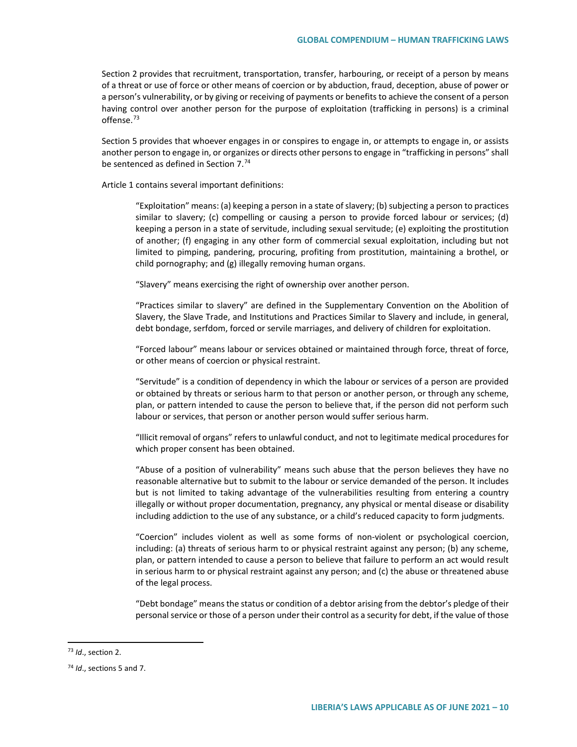Section 2 provides that recruitment, transportation, transfer, harbouring, or receipt of a person by means of a threat or use of force or other means of coercion or by abduction, fraud, deception, abuse of power or a person's vulnerability, or by giving or receiving of payments or benefits to achieve the consent of a person having control over another person for the purpose of exploitation (trafficking in persons) is a criminal offense.<sup>[73](#page-9-0)</sup>

Section 5 provides that whoever engages in or conspires to engage in, or attempts to engage in, or assists another person to engage in, or organizes or directs other persons to engage in "trafficking in persons" shall be sentenced as defined in Section 7.[74](#page-9-1)

Article 1 contains several important definitions:

"Exploitation" means: (a) keeping a person in a state of slavery; (b) subjecting a person to practices similar to slavery; (c) compelling or causing a person to provide forced labour or services; (d) keeping a person in a state of servitude, including sexual servitude; (e) exploiting the prostitution of another; (f) engaging in any other form of commercial sexual exploitation, including but not limited to pimping, pandering, procuring, profiting from prostitution, maintaining a brothel, or child pornography; and (g) illegally removing human organs.

"Slavery" means exercising the right of ownership over another person.

"Practices similar to slavery" are defined in the Supplementary Convention on the Abolition of Slavery, the Slave Trade, and Institutions and Practices Similar to Slavery and include, in general, debt bondage, serfdom, forced or servile marriages, and delivery of children for exploitation.

"Forced labour" means labour or services obtained or maintained through force, threat of force, or other means of coercion or physical restraint.

"Servitude" is a condition of dependency in which the labour or services of a person are provided or obtained by threats or serious harm to that person or another person, or through any scheme, plan, or pattern intended to cause the person to believe that, if the person did not perform such labour or services, that person or another person would suffer serious harm.

"Illicit removal of organs" refers to unlawful conduct, and not to legitimate medical procedures for which proper consent has been obtained.

"Abuse of a position of vulnerability" means such abuse that the person believes they have no reasonable alternative but to submit to the labour or service demanded of the person. It includes but is not limited to taking advantage of the vulnerabilities resulting from entering a country illegally or without proper documentation, pregnancy, any physical or mental disease or disability including addiction to the use of any substance, or a child's reduced capacity to form judgments.

"Coercion" includes violent as well as some forms of non-violent or psychological coercion, including: (a) threats of serious harm to or physical restraint against any person; (b) any scheme, plan, or pattern intended to cause a person to believe that failure to perform an act would result in serious harm to or physical restraint against any person; and (c) the abuse or threatened abuse of the legal process.

"Debt bondage" means the status or condition of a debtor arising from the debtor's pledge of their personal service or those of a person under their control as a security for debt, if the value of those

<span id="page-9-0"></span> <sup>73</sup> *Id*., section 2.

<span id="page-9-1"></span><sup>74</sup> *Id*., sections 5 and 7.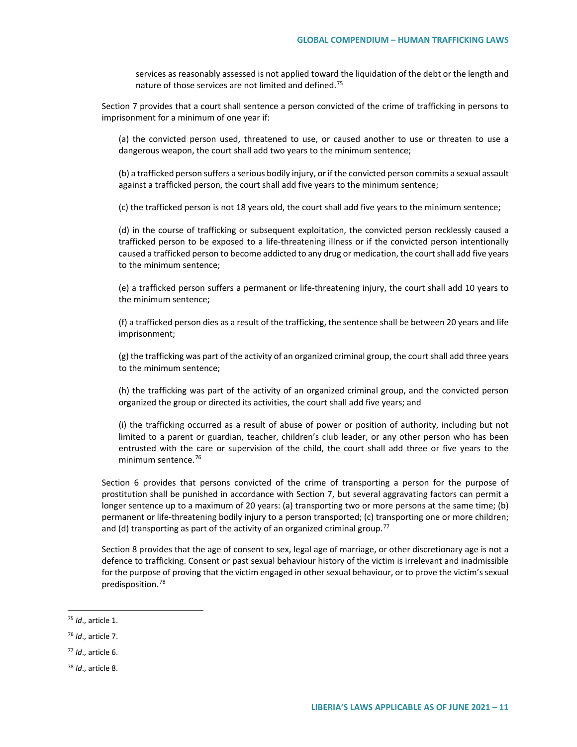services as reasonably assessed is not applied toward the liquidation of the debt or the length and nature of those services are not limited and defined.<sup>75</sup>

Section 7 provides that a court shall sentence a person convicted of the crime of trafficking in persons to imprisonment for a minimum of one year if:

(a) the convicted person used, threatened to use, or caused another to use or threaten to use a dangerous weapon, the court shall add two years to the minimum sentence;

(b) a trafficked person suffers a serious bodily injury, or if the convicted person commits a sexual assault against a trafficked person, the court shall add five years to the minimum sentence;

(c) the trafficked person is not 18 years old, the court shall add five years to the minimum sentence;

(d) in the course of trafficking or subsequent exploitation, the convicted person recklessly caused a trafficked person to be exposed to a life-threatening illness or if the convicted person intentionally caused a trafficked person to become addicted to any drug or medication, the court shall add five years to the minimum sentence;

(e) a trafficked person suffers a permanent or life-threatening injury, the court shall add 10 years to the minimum sentence;

(f) a trafficked person dies as a result of the trafficking, the sentence shall be between 20 years and life imprisonment;

(g) the trafficking was part of the activity of an organized criminal group, the court shall add three years to the minimum sentence;

(h) the trafficking was part of the activity of an organized criminal group, and the convicted person organized the group or directed its activities, the court shall add five years; and

(i) the trafficking occurred as a result of abuse of power or position of authority, including but not limited to a parent or guardian, teacher, children's club leader, or any other person who has been entrusted with the care or supervision of the child, the court shall add three or five years to the minimum sentence  $76$ 

Section 6 provides that persons convicted of the crime of transporting a person for the purpose of prostitution shall be punished in accordance with Section 7, but several aggravating factors can permit a longer sentence up to a maximum of 20 years: (a) transporting two or more persons at the same time; (b) permanent or life-threatening bodily injury to a person transported; (c) transporting one or more children; and (d) transporting as part of the activity of an organized criminal group.<sup>[77](#page-10-2)</sup>

Section 8 provides that the age of consent to sex, legal age of marriage, or other discretionary age is not a defence to trafficking. Consent or past sexual behaviour history of the victim is irrelevant and inadmissible for the purpose of proving that the victim engaged in other sexual behaviour, or to prove the victim's sexual predisposition.[78](#page-10-3)

<span id="page-10-0"></span> <sup>75</sup> *Id*., article 1.

<span id="page-10-1"></span><sup>76</sup> *Id*., article 7.

<span id="page-10-2"></span><sup>77</sup> *Id*., article 6.

<span id="page-10-3"></span><sup>78</sup> *Id*., article 8.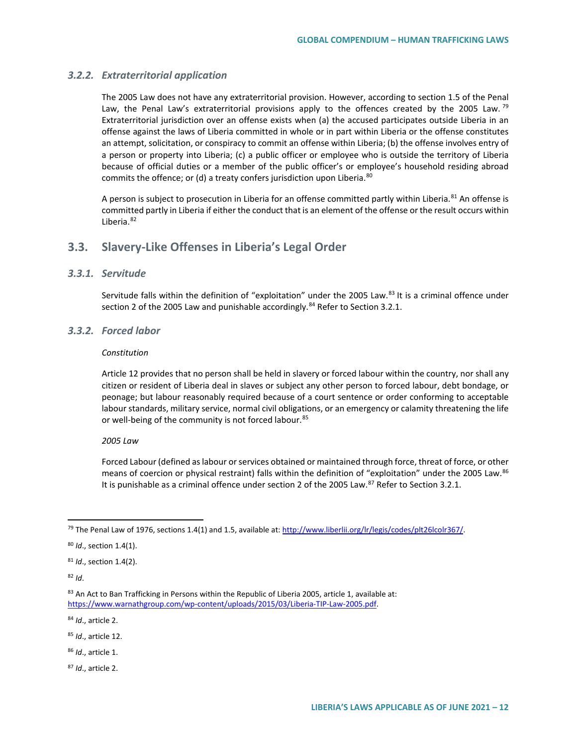#### *3.2.2. Extraterritorial application*

The 2005 Law does not have any extraterritorial provision. However, according to section 1.5 of the Penal Law, the Penal Law's extraterritorial provisions apply to the offences created by the 2005 Law.<sup>[79](#page-11-0)</sup> Extraterritorial jurisdiction over an offense exists when (a) the accused participates outside Liberia in an offense against the laws of Liberia committed in whole or in part within Liberia or the offense constitutes an attempt, solicitation, or conspiracy to commit an offense within Liberia; (b) the offense involves entry of a person or property into Liberia; (c) a public officer or employee who is outside the territory of Liberia because of official duties or a member of the public officer's or employee's household residing abroad commits the offence; or (d) a treaty confers jurisdiction upon Liberia.<sup>[80](#page-11-1)</sup>

A person is subject to prosecution in Liberia for an offense committed partly within Liberia.<sup>[81](#page-11-2)</sup> An offense is committed partly in Liberia if either the conduct that is an element of the offense or the result occurs within Liberia. [82](#page-11-3)

### **3.3. Slavery-Like Offenses in Liberia's Legal Order**

### *3.3.1. Servitude*

Servitude falls within the definition of "exploitation" under the 2005 Law.<sup>[83](#page-11-4)</sup> It is a criminal offence under section 2 of the 2005 Law and punishable accordingly.<sup>[84](#page-11-5)</sup> Refer to Section 3.2.1.

#### *3.3.2. Forced labor*

#### *Constitution*

Article 12 provides that no person shall be held in slavery or forced labour within the country, nor shall any citizen or resident of Liberia deal in slaves or subject any other person to forced labour, debt bondage, or peonage; but labour reasonably required because of a court sentence or order conforming to acceptable labour standards, military service, normal civil obligations, or an emergency or calamity threatening the life or well-being of the community is not forced labour.<sup>[85](#page-11-6)</sup>

#### *2005 Law*

Forced Labour (defined as labour or services obtained or maintained through force, threat of force, or other means of coercion or physical restraint) falls within the definition of "exploitation" under the 2005 Law.[86](#page-11-7) It is punishable as a criminal offence under section 2 of the 2005 Law.<sup>[87](#page-11-8)</sup> Refer to Section 3.2.1.

<span id="page-11-1"></span><sup>80</sup> *Id*., section 1.4(1).

<span id="page-11-2"></span><sup>81</sup> *Id*., section 1.4(2).

<span id="page-11-3"></span><sup>82</sup> *Id*.

<span id="page-11-5"></span><sup>84</sup> *Id*., article 2.

<span id="page-11-6"></span><sup>85</sup> *Id*., article 12.

<span id="page-11-7"></span><sup>86</sup> *Id*., article 1.

<span id="page-11-8"></span><sup>87</sup> *Id*., article 2.

<span id="page-11-0"></span><sup>&</sup>lt;sup>79</sup> The Penal Law of 1976, sections 1.4(1) and 1.5, available at: http://www.liberlii.org/lr/legis/codes/plt26lcolr367/.

<span id="page-11-4"></span><sup>83</sup> An Act to Ban Trafficking in Persons within the Republic of Liberia 2005, article 1, available at: [https://www.warnathgroup.com/wp-content/uploads/2015/03/Liberia-TIP-Law-2005.pdf.](https://www.warnathgroup.com/wp-content/uploads/2015/03/Liberia-TIP-Law-2005.pdf)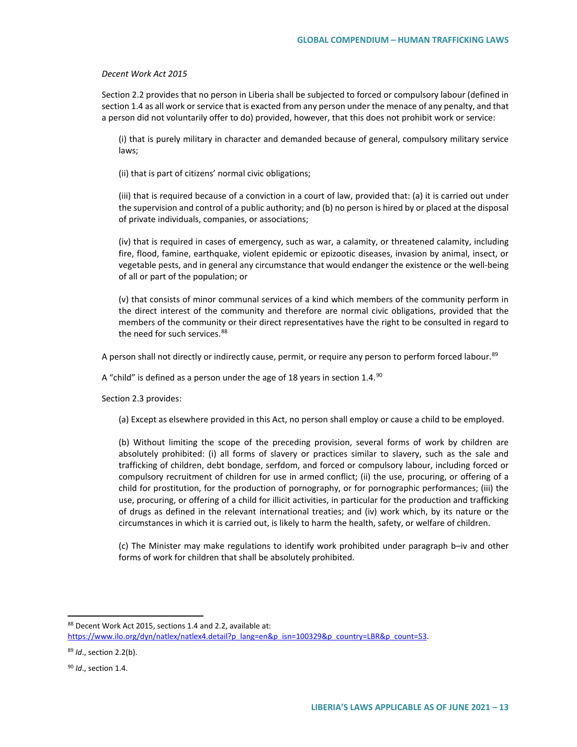#### *Decent Work Act 2015*

Section 2.2 provides that no person in Liberia shall be subjected to forced or compulsory labour (defined in section 1.4 as all work or service that is exacted from any person under the menace of any penalty, and that a person did not voluntarily offer to do) provided, however, that this does not prohibit work or service:

(i) that is purely military in character and demanded because of general, compulsory military service laws;

(ii) that is part of citizens' normal civic obligations;

(iii) that is required because of a conviction in a court of law, provided that: (a) it is carried out under the supervision and control of a public authority; and (b) no person is hired by or placed at the disposal of private individuals, companies, or associations;

(iv) that is required in cases of emergency, such as war, a calamity, or threatened calamity, including fire, flood, famine, earthquake, violent epidemic or epizootic diseases, invasion by animal, insect, or vegetable pests, and in general any circumstance that would endanger the existence or the well-being of all or part of the population; or

(v) that consists of minor communal services of a kind which members of the community perform in the direct interest of the community and therefore are normal civic obligations, provided that the members of the community or their direct representatives have the right to be consulted in regard to the need for such services.<sup>[88](#page-12-0)</sup>

A person shall not directly or indirectly cause, permit, or require any person to perform forced labour.<sup>[89](#page-12-1)</sup>

A "child" is defined as a person under the age of 18 years in section 1.4.<sup>[90](#page-12-2)</sup>

Section 2.3 provides:

(a) Except as elsewhere provided in this Act, no person shall employ or cause a child to be employed.

(b) Without limiting the scope of the preceding provision, several forms of work by children are absolutely prohibited: (i) all forms of slavery or practices similar to slavery, such as the sale and trafficking of children, debt bondage, serfdom, and forced or compulsory labour, including forced or compulsory recruitment of children for use in armed conflict; (ii) the use, procuring, or offering of a child for prostitution, for the production of pornography, or for pornographic performances; (iii) the use, procuring, or offering of a child for illicit activities, in particular for the production and trafficking of drugs as defined in the relevant international treaties; and (iv) work which, by its nature or the circumstances in which it is carried out, is likely to harm the health, safety, or welfare of children.

(c) The Minister may make regulations to identify work prohibited under paragraph b–iv and other forms of work for children that shall be absolutely prohibited.

<span id="page-12-0"></span>88 Decent Work Act 2015, sections 1.4 and 2.2, available at:

[https://www.ilo.org/dyn/natlex/natlex4.detail?p\\_lang=en&p\\_isn=100329&p\\_country=LBR&p\\_count=53.](https://www.ilo.org/dyn/natlex/natlex4.detail?p_lang=en&p_isn=100329&p_country=LBR&p_count=53)

<span id="page-12-1"></span><sup>89</sup> *Id*., section 2.2(b).

<span id="page-12-2"></span><sup>90</sup> *Id*., section 1.4.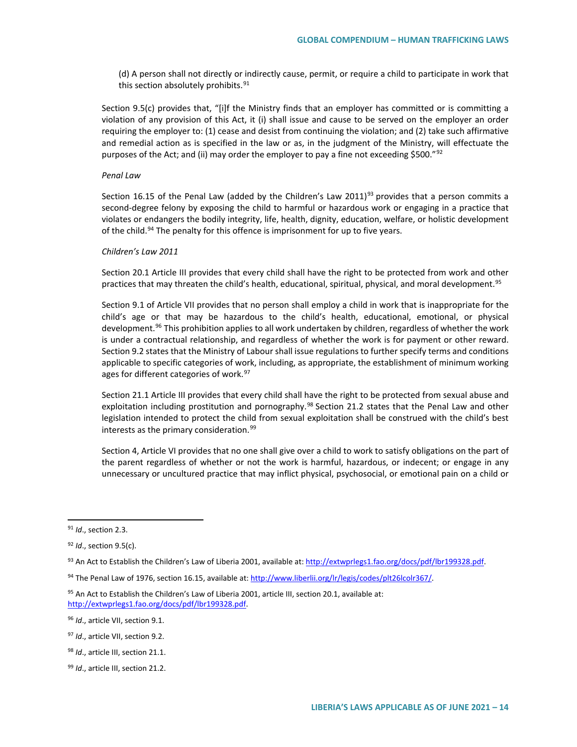(d) A person shall not directly or indirectly cause, permit, or require a child to participate in work that this section absolutely prohibits. $91$ 

Section 9.5(c) provides that, "[i]f the Ministry finds that an employer has committed or is committing a violation of any provision of this Act, it (i) shall issue and cause to be served on the employer an order requiring the employer to: (1) cease and desist from continuing the violation; and (2) take such affirmative and remedial action as is specified in the law or as, in the judgment of the Ministry, will effectuate the purposes of the Act; and (ii) may order the employer to pay a fine not exceeding \$500."[92](#page-13-1)

#### *Penal Law*

Section 16.15 of the Penal Law (added by the Children's Law 2011)<sup>[93](#page-13-2)</sup> provides that a person commits a second-degree felony by exposing the child to harmful or hazardous work or engaging in a practice that violates or endangers the bodily integrity, life, health, dignity, education, welfare, or holistic development of the child.<sup>[94](#page-13-3)</sup> The penalty for this offence is imprisonment for up to five years.

#### *Children's Law 2011*

Section 20.1 Article III provides that every child shall have the right to be protected from work and other practices that may threaten the child's health, educational, spiritual, physical, and moral development.<sup>[95](#page-13-4)</sup>

Section 9.1 of Article VII provides that no person shall employ a child in work that is inappropriate for the child's age or that may be hazardous to the child's health, educational, emotional, or physical development.<sup>[96](#page-13-5)</sup> This prohibition applies to all work undertaken by children, regardless of whether the work is under a contractual relationship, and regardless of whether the work is for payment or other reward. Section 9.2 states that the Ministry of Labour shall issue regulations to further specify terms and conditions applicable to specific categories of work, including, as appropriate, the establishment of minimum working ages for different categories of work.<sup>[97](#page-13-6)</sup>

Section 21.1 Article III provides that every child shall have the right to be protected from sexual abuse and exploitation including prostitution and pornography.<sup>[98](#page-13-7)</sup> Section 21.2 states that the Penal Law and other legislation intended to protect the child from sexual exploitation shall be construed with the child's best interests as the primary consideration.<sup>[99](#page-13-8)</sup>

Section 4, Article VI provides that no one shall give over a child to work to satisfy obligations on the part of the parent regardless of whether or not the work is harmful, hazardous, or indecent; or engage in any unnecessary or uncultured practice that may inflict physical, psychosocial, or emotional pain on a child or

<span id="page-13-0"></span> <sup>91</sup> *Id*., section 2.3.

<span id="page-13-1"></span><sup>92</sup> *Id*., section 9.5(c).

<span id="page-13-2"></span><sup>93</sup> An Act to Establish the Children's Law of Liberia 2001, available at: http://extwprlegs1.fao.org/docs/pdf/lbr199328.pdf.

<span id="page-13-3"></span><sup>94</sup> The Penal Law of 1976, section 16.15, available at[: http://www.liberlii.org/lr/legis/codes/plt26lcolr367/.](http://www.liberlii.org/lr/legis/codes/plt26lcolr367/)

<span id="page-13-4"></span> $95$  An Act to Establish the Children's Law of Liberia 2001, article III, section 20.1, available at: [http://extwprlegs1.fao.org/docs/pdf/lbr199328.pdf.](http://extwprlegs1.fao.org/docs/pdf/lbr199328.pdf)

<span id="page-13-5"></span><sup>96</sup> *Id*., article VII, section 9.1.

<span id="page-13-6"></span><sup>97</sup> *Id*., article VII, section 9.2.

<span id="page-13-7"></span><sup>98</sup> *Id*., article III, section 21.1.

<span id="page-13-8"></span><sup>99</sup> *Id*., article III, section 21.2.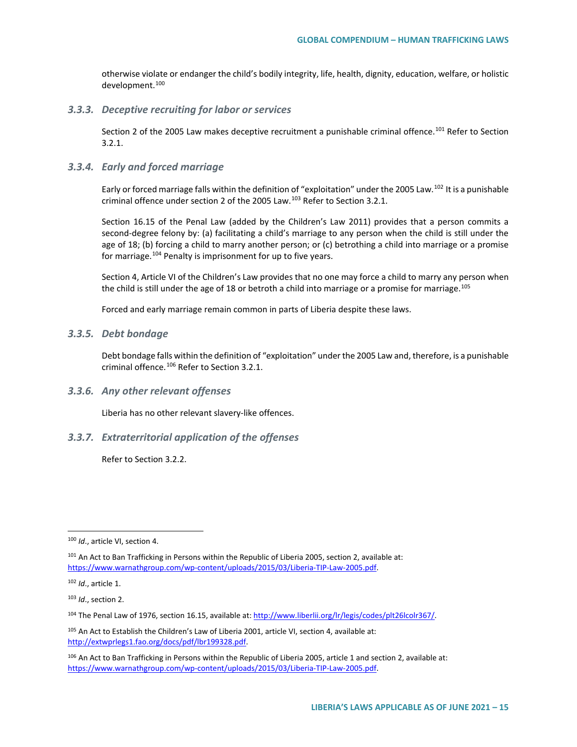otherwise violate or endanger the child's bodily integrity, life, health, dignity, education, welfare, or holistic development.[100](#page-14-0)

#### *3.3.3. Deceptive recruiting for labor or services*

Section 2 of the 2005 Law makes deceptive recruitment a punishable criminal offence.<sup>[101](#page-14-1)</sup> Refer to Section 3.2.1.

#### *3.3.4. Early and forced marriage*

Early or forced marriage falls within the definition of "exploitation" under the 2005 Law.[102](#page-14-2) It is a punishable criminal offence under section 2 of the 2005 Law.<sup>103</sup> Refer to Section 3.2.1.

Section 16.15 of the Penal Law (added by the Children's Law 2011) provides that a person commits a second-degree felony by: (a) facilitating a child's marriage to any person when the child is still under the age of 18; (b) forcing a child to marry another person; or (c) betrothing a child into marriage or a promise for marriage.<sup>[104](#page-14-4)</sup> Penalty is imprisonment for up to five years.

Section 4, Article VI of the Children's Law provides that no one may force a child to marry any person when the child is still under the age of 18 or betroth a child into marriage or a promise for marriage.<sup>[105](#page-14-5)</sup>

Forced and early marriage remain common in parts of Liberia despite these laws.

#### *3.3.5. Debt bondage*

Debt bondage falls within the definition of "exploitation" under the 2005 Law and, therefore, is a punishable criminal offence.<sup>[106](#page-14-6)</sup> Refer to Section 3.2.1.

#### *3.3.6. Any other relevant offenses*

Liberia has no other relevant slavery-like offences.

#### *3.3.7. Extraterritorial application of the offenses*

Refer to Section 3.2.2.

<span id="page-14-2"></span><sup>102</sup> *Id*., article 1.

<span id="page-14-3"></span><sup>103</sup> *Id*., section 2.

<span id="page-14-0"></span> <sup>100</sup> *Id*., article VI, section 4.

<span id="page-14-1"></span><sup>&</sup>lt;sup>101</sup> An Act to Ban Trafficking in Persons within the Republic of Liberia 2005, section 2, available at: [https://www.warnathgroup.com/wp-content/uploads/2015/03/Liberia-TIP-Law-2005.pdf.](https://www.warnathgroup.com/wp-content/uploads/2015/03/Liberia-TIP-Law-2005.pdf)

<span id="page-14-4"></span><sup>104</sup> The Penal Law of 1976, section 16.15, available at[: http://www.liberlii.org/lr/legis/codes/plt26lcolr367/.](http://www.liberlii.org/lr/legis/codes/plt26lcolr367/)

<span id="page-14-5"></span><sup>105</sup> An Act to Establish the Children's Law of Liberia 2001, article VI, section 4, available at: [http://extwprlegs1.fao.org/docs/pdf/lbr199328.pdf.](http://extwprlegs1.fao.org/docs/pdf/lbr199328.pdf)

<span id="page-14-6"></span><sup>106</sup> An Act to Ban Trafficking in Persons within the Republic of Liberia 2005, article 1 and section 2, available at: [https://www.warnathgroup.com/wp-content/uploads/2015/03/Liberia-TIP-Law-2005.pdf.](https://www.warnathgroup.com/wp-content/uploads/2015/03/Liberia-TIP-Law-2005.pdf)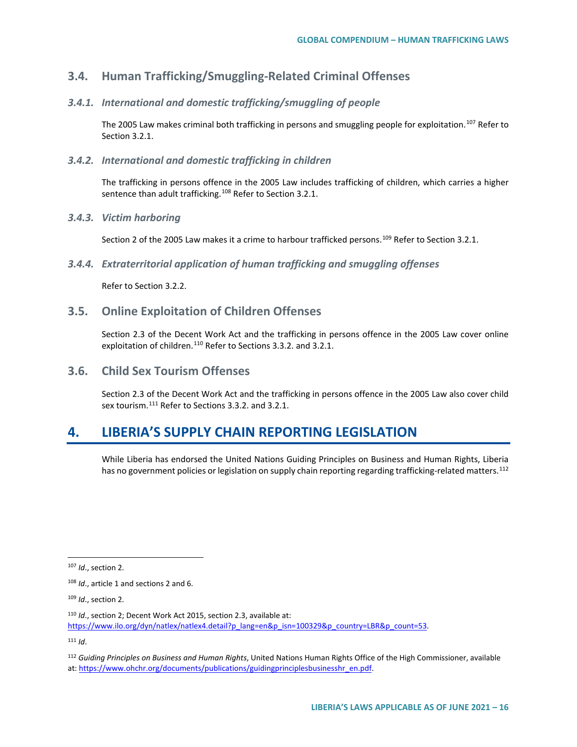# **3.4. Human Trafficking/Smuggling-Related Criminal Offenses**

### *3.4.1. International and domestic trafficking/smuggling of people*

The 2005 Law makes criminal both trafficking in persons and smuggling people for exploitation.<sup>[107](#page-15-0)</sup> Refer to Section 3.2.1.

### *3.4.2. International and domestic trafficking in children*

The trafficking in persons offence in the 2005 Law includes trafficking of children, which carries a higher sentence than adult trafficking.<sup>[108](#page-15-1)</sup> Refer to Section 3.2.1.

### *3.4.3. Victim harboring*

Section 2 of the 2005 Law makes it a crime to harbour trafficked persons.<sup>[109](#page-15-2)</sup> Refer to Section 3.2.1.

### *3.4.4. Extraterritorial application of human trafficking and smuggling offenses*

Refer to Section 3.2.2.

# **3.5. Online Exploitation of Children Offenses**

Section 2.3 of the Decent Work Act and the trafficking in persons offence in the 2005 Law cover online exploitation of children.<sup>[110](#page-15-3)</sup> Refer to Sections 3.3.2. and 3.2.1.

### **3.6. Child Sex Tourism Offenses**

Section 2.3 of the Decent Work Act and the trafficking in persons offence in the 2005 Law also cover child sex tourism.<sup>[111](#page-15-4)</sup> Refer to Sections 3.3.2. and 3.2.1.

# **4. LIBERIA'S SUPPLY CHAIN REPORTING LEGISLATION**

While Liberia has endorsed the United Nations Guiding Principles on Business and Human Rights, Liberia has no government policies or legislation on supply chain reporting regarding trafficking-related matters.<sup>[112](#page-15-5)</sup>

<span id="page-15-0"></span>107 *Id*., section 2.

<span id="page-15-3"></span><sup>110</sup> *Id*., section 2; Decent Work Act 2015, section 2.3, available at: [https://www.ilo.org/dyn/natlex/natlex4.detail?p\\_lang=en&p\\_isn=100329&p\\_country=LBR&p\\_count=53.](https://www.ilo.org/dyn/natlex/natlex4.detail?p_lang=en&p_isn=100329&p_country=LBR&p_count=53)

<span id="page-15-4"></span> $111$  *Id.* 

<span id="page-15-5"></span><sup>112</sup> *Guiding Principles on Business and Human Rights*, United Nations Human Rights Office of the High Commissioner, available at: [https://www.ohchr.org/documents/publications/guidingprinciplesbusinesshr\\_en.pdf.](https://www.ohchr.org/documents/publications/guidingprinciplesbusinesshr_en.pdf)

<span id="page-15-1"></span><sup>108</sup> *Id*., article 1 and sections 2 and 6.

<span id="page-15-2"></span><sup>109</sup> *Id*., section 2.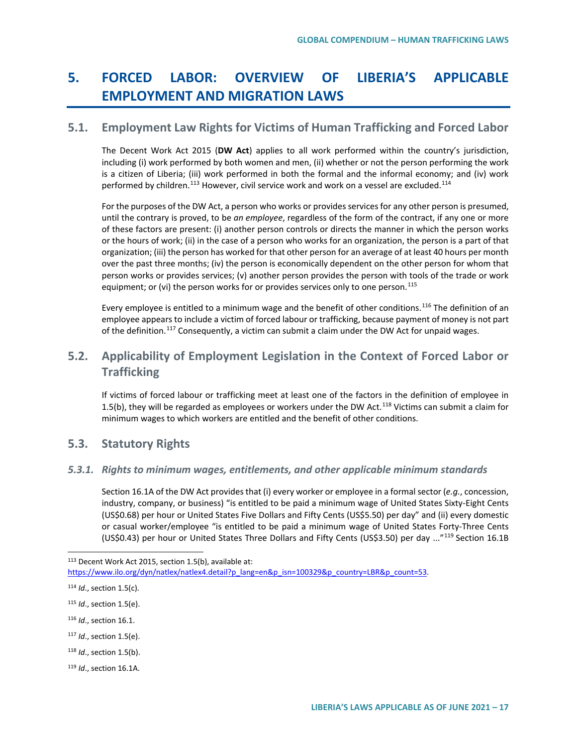# **5. FORCED LABOR: OVERVIEW OF LIBERIA'S APPLICABLE EMPLOYMENT AND MIGRATION LAWS**

# **5.1. Employment Law Rights for Victims of Human Trafficking and Forced Labor**

The Decent Work Act 2015 (**DW Act**) applies to all work performed within the country's jurisdiction, including (i) work performed by both women and men, (ii) whether or not the person performing the work is a citizen of Liberia; (iii) work performed in both the formal and the informal economy; and (iv) work performed by children.<sup>[113](#page-16-0)</sup> However, civil service work and work on a vessel are excluded.<sup>[114](#page-16-1)</sup>

For the purposes of the DW Act, a person who works or provides services for any other person is presumed, until the contrary is proved, to be *an employee*, regardless of the form of the contract, if any one or more of these factors are present: (i) another person controls or directs the manner in which the person works or the hours of work; (ii) in the case of a person who works for an organization, the person is a part of that organization; (iii) the person has worked for that other person for an average of at least 40 hours per month over the past three months; (iv) the person is economically dependent on the other person for whom that person works or provides services; (v) another person provides the person with tools of the trade or work equipment; or (vi) the person works for or provides services only to one person.<sup>[115](#page-16-2)</sup>

Every employee is entitled to a minimum wage and the benefit of other conditions.<sup>[116](#page-16-3)</sup> The definition of an employee appears to include a victim of forced labour or trafficking, because payment of money is not part of the definition.<sup>[117](#page-16-4)</sup> Consequently, a victim can submit a claim under the DW Act for unpaid wages.

# **5.2. Applicability of Employment Legislation in the Context of Forced Labor or Trafficking**

If victims of forced labour or trafficking meet at least one of the factors in the definition of employee in 1.5(b), they will be regarded as employees or workers under the DW Act.<sup>[118](#page-16-5)</sup> Victims can submit a claim for minimum wages to which workers are entitled and the benefit of other conditions.

## **5.3. Statutory Rights**

#### *5.3.1. Rights to minimum wages, entitlements, and other applicable minimum standards*

Section 16.1A of the DW Act provides that (i) every worker or employee in a formal sector (*e.g.*, concession, industry, company, or business) "is entitled to be paid a minimum wage of United States Sixty-Eight Cents (US\$0.68) per hour or United States Five Dollars and Fifty Cents (US\$5.50) per day" and (ii) every domestic or casual worker/employee "is entitled to be paid a minimum wage of United States Forty-Three Cents (US\$0.43) per hour or United States Three Dollars and Fifty Cents (US\$3.50) per day ..."[119](#page-16-6) Section 16.1B

<span id="page-16-0"></span> <sup>113</sup> Decent Work Act 2015, section 1.5(b), available at:

[https://www.ilo.org/dyn/natlex/natlex4.detail?p\\_lang=en&p\\_isn=100329&p\\_country=LBR&p\\_count=53.](https://www.ilo.org/dyn/natlex/natlex4.detail?p_lang=en&p_isn=100329&p_country=LBR&p_count=53)

<span id="page-16-1"></span><sup>114</sup> *Id*., section 1.5(c).

<span id="page-16-2"></span><sup>115</sup> *Id*., section 1.5(e).

<span id="page-16-3"></span><sup>116</sup> *Id*., section 16.1.

<span id="page-16-4"></span><sup>117</sup> *Id*., section 1.5(e).

<span id="page-16-5"></span><sup>118</sup> *Id*., section 1.5(b).

<span id="page-16-6"></span><sup>119</sup> *Id*., section 16.1A.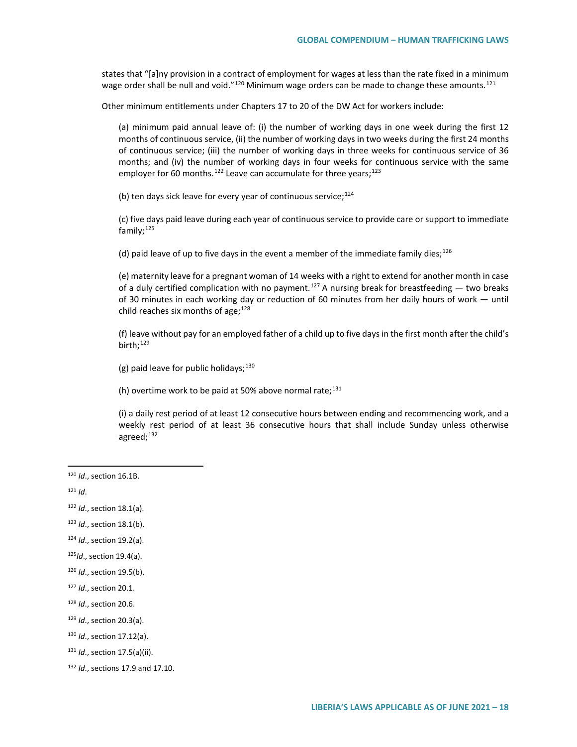states that "[a]ny provision in a contract of employment for wages at less than the rate fixed in a minimum wage order shall be null and void."<sup>[120](#page-17-0)</sup> Minimum wage orders can be made to change these amounts.<sup>[121](#page-17-1)</sup>

Other minimum entitlements under Chapters 17 to 20 of the DW Act for workers include:

(a) minimum paid annual leave of: (i) the number of working days in one week during the first 12 months of continuous service, (ii) the number of working days in two weeks during the first 24 months of continuous service; (iii) the number of working days in three weeks for continuous service of 36 months; and (iv) the number of working days in four weeks for continuous service with the same employer for 60 months.<sup>[122](#page-17-2)</sup> Leave can accumulate for three years;<sup>[123](#page-17-3)</sup>

(b) ten days sick leave for every year of continuous service;  $124$ 

(c) five days paid leave during each year of continuous service to provide care or support to immediate family; $^{125}$  $^{125}$  $^{125}$ 

(d) paid leave of up to five days in the event a member of the immediate family dies;<sup>[126](#page-17-6)</sup>

(e) maternity leave for a pregnant woman of 14 weeks with a right to extend for another month in case of a duly certified complication with no payment.<sup>[127](#page-17-7)</sup> A nursing break for breastfeeding  $-$  two breaks of 30 minutes in each working day or reduction of 60 minutes from her daily hours of work — until child reaches six months of age; $^{128}$  $^{128}$  $^{128}$ 

(f) leave without pay for an employed father of a child up to five days in the first month after the child's birth: [129](#page-17-9)

(g) paid leave for public holidays;  $130$ 

(h) overtime work to be paid at 50% above normal rate; $^{131}$  $^{131}$  $^{131}$ 

(i) a daily rest period of at least 12 consecutive hours between ending and recommencing work, and a weekly rest period of at least 36 consecutive hours that shall include Sunday unless otherwise agreed;<sup>[132](#page-17-12)</sup>

<span id="page-17-1"></span><sup>121</sup> *Id*.

- <span id="page-17-3"></span><sup>123</sup> *Id*., section 18.1(b).
- <span id="page-17-4"></span><sup>124</sup> *Id*., section 19.2(a).
- <span id="page-17-5"></span><sup>125</sup>*Id*., section 19.4(a).
- <span id="page-17-6"></span><sup>126</sup> *Id*., section 19.5(b).
- <span id="page-17-7"></span><sup>127</sup> *Id*., section 20.1.

<span id="page-17-0"></span> <sup>120</sup> *Id*., section 16.1B.

<span id="page-17-2"></span><sup>122</sup> *Id*., section 18.1(a).

<span id="page-17-8"></span><sup>128</sup> *Id*., section 20.6.

<span id="page-17-9"></span><sup>129</sup> *Id*., section 20.3(a).

<span id="page-17-10"></span><sup>130</sup> *Id*., section 17.12(a).

<span id="page-17-11"></span><sup>131</sup> *Id*., section 17.5(a)(ii).

<span id="page-17-12"></span><sup>132</sup> *Id*., sections 17.9 and 17.10.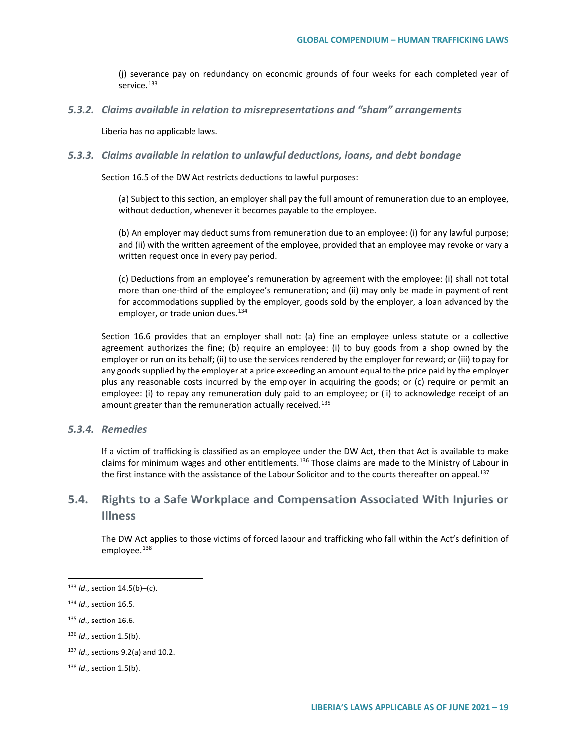(j) severance pay on redundancy on economic grounds of four weeks for each completed year of service.<sup>[133](#page-18-0)</sup>

#### *5.3.2. Claims available in relation to misrepresentations and "sham" arrangements*

Liberia has no applicable laws.

#### *5.3.3. Claims available in relation to unlawful deductions, loans, and debt bondage*

Section 16.5 of the DW Act restricts deductions to lawful purposes:

(a) Subject to this section, an employer shall pay the full amount of remuneration due to an employee, without deduction, whenever it becomes payable to the employee.

(b) An employer may deduct sums from remuneration due to an employee: (i) for any lawful purpose; and (ii) with the written agreement of the employee, provided that an employee may revoke or vary a written request once in every pay period.

(c) Deductions from an employee's remuneration by agreement with the employee: (i) shall not total more than one-third of the employee's remuneration; and (ii) may only be made in payment of rent for accommodations supplied by the employer, goods sold by the employer, a loan advanced by the employer, or trade union dues.<sup>[134](#page-18-1)</sup>

Section 16.6 provides that an employer shall not: (a) fine an employee unless statute or a collective agreement authorizes the fine; (b) require an employee: (i) to buy goods from a shop owned by the employer or run on its behalf; (ii) to use the services rendered by the employer for reward; or (iii) to pay for any goods supplied by the employer at a price exceeding an amount equal to the price paid by the employer plus any reasonable costs incurred by the employer in acquiring the goods; or (c) require or permit an employee: (i) to repay any remuneration duly paid to an employee; or (ii) to acknowledge receipt of an amount greater than the remuneration actually received.<sup>[135](#page-18-2)</sup>

#### *5.3.4. Remedies*

If a victim of trafficking is classified as an employee under the DW Act, then that Act is available to make claims for minimum wages and other entitlements.<sup>[136](#page-18-3)</sup> Those claims are made to the Ministry of Labour in the first instance with the assistance of the Labour Solicitor and to the courts thereafter on appeal.<sup>[137](#page-18-4)</sup>

# **5.4. Rights to a Safe Workplace and Compensation Associated With Injuries or Illness**

The DW Act applies to those victims of forced labour and trafficking who fall within the Act's definition of employee.<sup>[138](#page-18-5)</sup>

<span id="page-18-0"></span> <sup>133</sup> *Id*., section 14.5(b)–(c).

<span id="page-18-1"></span><sup>134</sup> *Id*., section 16.5.

<span id="page-18-2"></span><sup>135</sup> *Id*., section 16.6.

<span id="page-18-3"></span><sup>136</sup> *Id*., section 1.5(b).

<span id="page-18-4"></span><sup>137</sup> *Id*., sections 9.2(a) and 10.2.

<span id="page-18-5"></span><sup>138</sup> *Id*., section 1.5(b).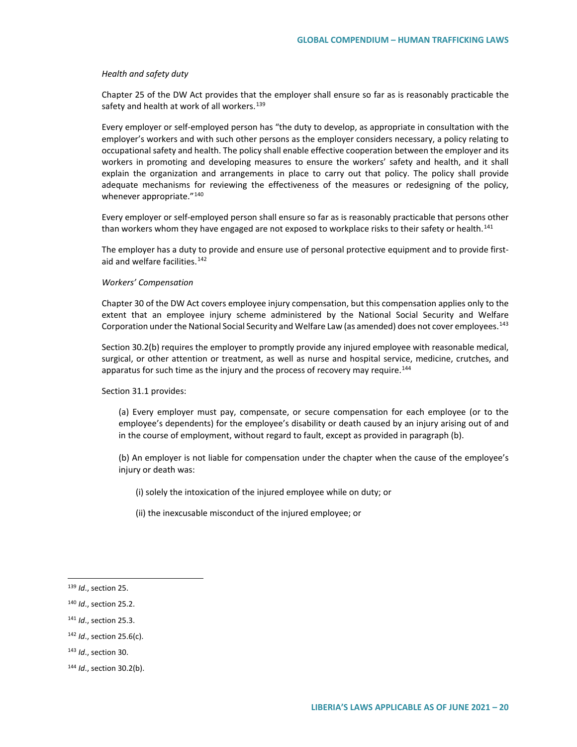#### *Health and safety duty*

Chapter 25 of the DW Act provides that the employer shall ensure so far as is reasonably practicable the safety and health at work of all workers.<sup>[139](#page-19-0)</sup>

Every employer or self-employed person has "the duty to develop, as appropriate in consultation with the employer's workers and with such other persons as the employer considers necessary, a policy relating to occupational safety and health. The policy shall enable effective cooperation between the employer and its workers in promoting and developing measures to ensure the workers' safety and health, and it shall explain the organization and arrangements in place to carry out that policy. The policy shall provide adequate mechanisms for reviewing the effectiveness of the measures or redesigning of the policy, whenever appropriate."<sup>[140](#page-19-1)</sup>

Every employer or self-employed person shall ensure so far as is reasonably practicable that persons other than workers whom they have engaged are not exposed to workplace risks to their safety or health.<sup>[141](#page-19-2)</sup>

The employer has a duty to provide and ensure use of personal protective equipment and to provide first-aid and welfare facilities.<sup>[142](#page-19-3)</sup>

#### *Workers' Compensation*

Chapter 30 of the DW Act covers employee injury compensation, but this compensation applies only to the extent that an employee injury scheme administered by the National Social Security and Welfare Corporation under the National Social Security and Welfare Law (as amended) does not cover employees.<sup>[143](#page-19-4)</sup>

Section 30.2(b) requires the employer to promptly provide any injured employee with reasonable medical, surgical, or other attention or treatment, as well as nurse and hospital service, medicine, crutches, and apparatus for such time as the injury and the process of recovery may require.<sup>[144](#page-19-5)</sup>

Section 31.1 provides:

(a) Every employer must pay, compensate, or secure compensation for each employee (or to the employee's dependents) for the employee's disability or death caused by an injury arising out of and in the course of employment, without regard to fault, except as provided in paragraph (b).

(b) An employer is not liable for compensation under the chapter when the cause of the employee's injury or death was:

(i) solely the intoxication of the injured employee while on duty; or

(ii) the inexcusable misconduct of the injured employee; or

<span id="page-19-2"></span><sup>141</sup> *Id*., section 25.3.

<span id="page-19-4"></span><sup>143</sup> *Id*., section 30.

<span id="page-19-0"></span> <sup>139</sup> *Id*., section 25.

<span id="page-19-1"></span><sup>140</sup> *Id*., section 25.2.

<span id="page-19-3"></span><sup>142</sup> *Id*., section 25.6(c).

<span id="page-19-5"></span><sup>144</sup> *Id*., section 30.2(b).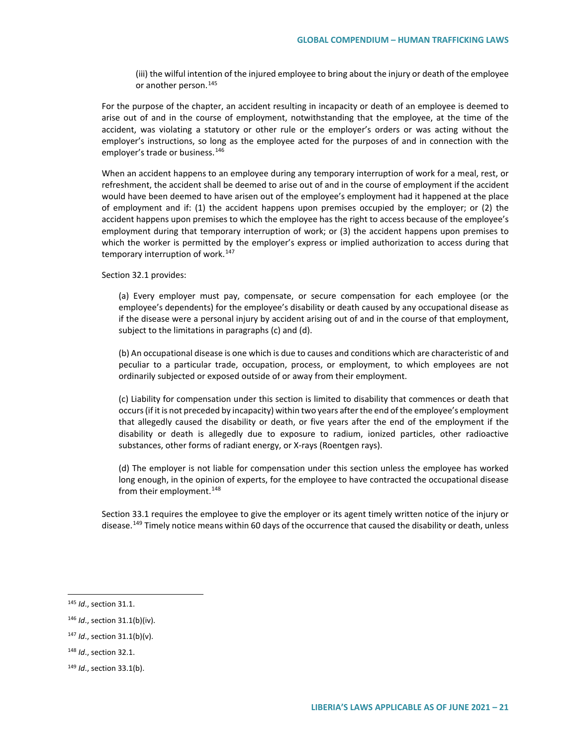(iii) the wilful intention of the injured employee to bring about the injury or death of the employee or another person.[145](#page-20-0)

For the purpose of the chapter, an accident resulting in incapacity or death of an employee is deemed to arise out of and in the course of employment, notwithstanding that the employee, at the time of the accident, was violating a statutory or other rule or the employer's orders or was acting without the employer's instructions, so long as the employee acted for the purposes of and in connection with the employer's trade or business.<sup>[146](#page-20-1)</sup>

When an accident happens to an employee during any temporary interruption of work for a meal, rest, or refreshment, the accident shall be deemed to arise out of and in the course of employment if the accident would have been deemed to have arisen out of the employee's employment had it happened at the place of employment and if: (1) the accident happens upon premises occupied by the employer; or (2) the accident happens upon premises to which the employee has the right to access because of the employee's employment during that temporary interruption of work; or (3) the accident happens upon premises to which the worker is permitted by the employer's express or implied authorization to access during that temporary interruption of work.<sup>[147](#page-20-2)</sup>

Section 32.1 provides:

(a) Every employer must pay, compensate, or secure compensation for each employee (or the employee's dependents) for the employee's disability or death caused by any occupational disease as if the disease were a personal injury by accident arising out of and in the course of that employment, subject to the limitations in paragraphs (c) and (d).

(b) An occupational disease is one which is due to causes and conditions which are characteristic of and peculiar to a particular trade, occupation, process, or employment, to which employees are not ordinarily subjected or exposed outside of or away from their employment.

(c) Liability for compensation under this section is limited to disability that commences or death that occurs (if it is not preceded by incapacity) within two years after the end of the employee's employment that allegedly caused the disability or death, or five years after the end of the employment if the disability or death is allegedly due to exposure to radium, ionized particles, other radioactive substances, other forms of radiant energy, or X-rays (Roentgen rays).

(d) The employer is not liable for compensation under this section unless the employee has worked long enough, in the opinion of experts, for the employee to have contracted the occupational disease from their employment.<sup>[148](#page-20-3)</sup>

Section 33.1 requires the employee to give the employer or its agent timely written notice of the injury or disease.<sup>[149](#page-20-4)</sup> Timely notice means within 60 days of the occurrence that caused the disability or death, unless

<span id="page-20-0"></span> <sup>145</sup> *Id*., section 31.1.

<span id="page-20-1"></span><sup>146</sup> *Id*., section 31.1(b)(iv).

<span id="page-20-2"></span><sup>147</sup> *Id*., section 31.1(b)(v).

<span id="page-20-3"></span><sup>148</sup> *Id*., section 32.1.

<span id="page-20-4"></span><sup>149</sup> *Id*., section 33.1(b).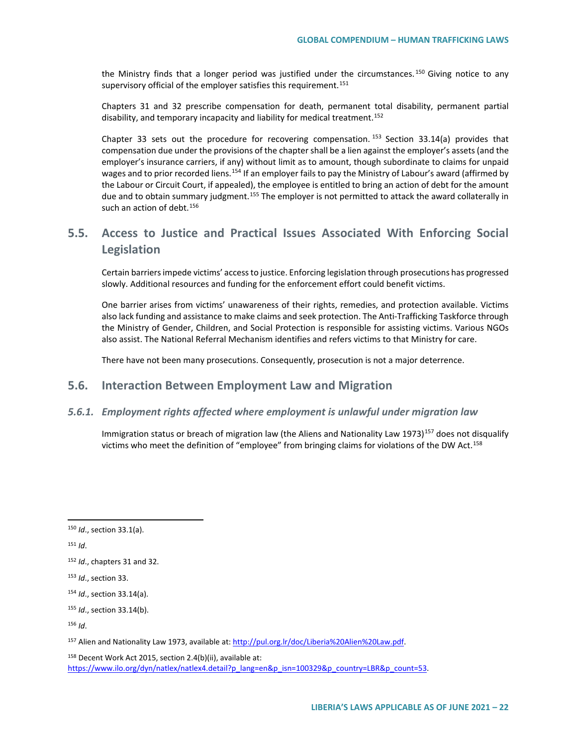the Ministry finds that a longer period was justified under the circumstances.<sup>[150](#page-21-0)</sup> Giving notice to any supervisory official of the employer satisfies this requirement.<sup>[151](#page-21-1)</sup>

Chapters 31 and 32 prescribe compensation for death, permanent total disability, permanent partial disability, and temporary incapacity and liability for medical treatment.<sup>[152](#page-21-2)</sup>

Chapter 33 sets out the procedure for recovering compensation.  $153$  Section 33.14(a) provides that compensation due under the provisions of the chapter shall be a lien against the employer's assets (and the employer's insurance carriers, if any) without limit as to amount, though subordinate to claims for unpaid wages and to prior recorded liens.<sup>[154](#page-21-4)</sup> If an employer fails to pay the Ministry of Labour's award (affirmed by the Labour or Circuit Court, if appealed), the employee is entitled to bring an action of debt for the amount due and to obtain summary judgment.<sup>[155](#page-21-5)</sup> The employer is not permitted to attack the award collaterally in such an action of debt  $156$ 

# **5.5. Access to Justice and Practical Issues Associated With Enforcing Social Legislation**

Certain barriers impede victims' access to justice. Enforcing legislation through prosecutions has progressed slowly. Additional resources and funding for the enforcement effort could benefit victims.

One barrier arises from victims' unawareness of their rights, remedies, and protection available. Victims also lack funding and assistance to make claims and seek protection. The Anti-Trafficking Taskforce through the Ministry of Gender, Children, and Social Protection is responsible for assisting victims. Various NGOs also assist. The National Referral Mechanism identifies and refers victims to that Ministry for care.

There have not been many prosecutions. Consequently, prosecution is not a major deterrence.

# **5.6. Interaction Between Employment Law and Migration**

### *5.6.1. Employment rights affected where employment is unlawful under migration law*

Immigration status or breach of migration law (the Aliens and Nationality Law 1973)<sup>[157](#page-21-7)</sup> does not disqualify victims who meet the definition of "employee" from bringing claims for violations of the DW Act.<sup>[158](#page-21-8)</sup>

<span id="page-21-1"></span><sup>151</sup> *Id*.

<span id="page-21-6"></span><sup>156</sup> *Id*.

<span id="page-21-8"></span>158 Decent Work Act 2015, section 2.4(b)(ii), available at: [https://www.ilo.org/dyn/natlex/natlex4.detail?p\\_lang=en&p\\_isn=100329&p\\_country=LBR&p\\_count=53.](https://www.ilo.org/dyn/natlex/natlex4.detail?p_lang=en&p_isn=100329&p_country=LBR&p_count=53)

<span id="page-21-0"></span> <sup>150</sup> *Id*., section 33.1(a).

<span id="page-21-2"></span><sup>152</sup> *Id*., chapters 31 and 32.

<span id="page-21-3"></span><sup>153</sup> *Id*., section 33.

<span id="page-21-4"></span><sup>154</sup> *Id*., section 33.14(a).

<span id="page-21-5"></span><sup>155</sup> *Id*., section 33.14(b).

<span id="page-21-7"></span><sup>157</sup> Alien and Nationality Law 1973, available at[: http://pul.org.lr/doc/Liberia%20Alien%20Law.pdf.](http://pul.org.lr/doc/Liberia%20Alien%20Law.pdf)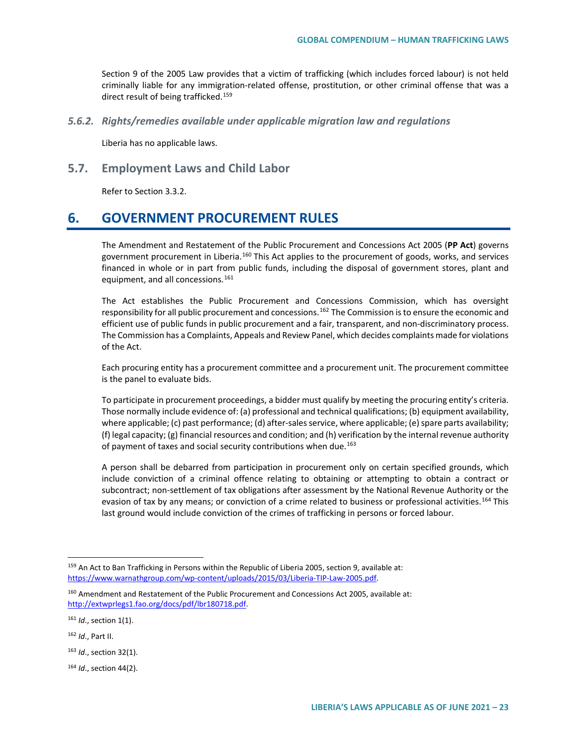Section 9 of the 2005 Law provides that a victim of trafficking (which includes forced labour) is not held criminally liable for any immigration-related offense, prostitution, or other criminal offense that was a direct result of being trafficked.<sup>[159](#page-22-0)</sup>

*5.6.2. Rights/remedies available under applicable migration law and regulations*

Liberia has no applicable laws.

**5.7. Employment Laws and Child Labor**

Refer to Section 3.3.2.

# **6. GOVERNMENT PROCUREMENT RULES**

The Amendment and Restatement of the Public Procurement and Concessions Act 2005 (**PP Act**) governs government procurement in Liberia.<sup>[160](#page-22-1)</sup> This Act applies to the procurement of goods, works, and services financed in whole or in part from public funds, including the disposal of government stores, plant and equipment, and all concessions.<sup>[161](#page-22-2)</sup>

The Act establishes the Public Procurement and Concessions Commission, which has oversight responsibility for all public procurement and concessions.<sup>[162](#page-22-3)</sup> The Commission is to ensure the economic and efficient use of public funds in public procurement and a fair, transparent, and non-discriminatory process. The Commission has a Complaints, Appeals and Review Panel, which decides complaints made for violations of the Act.

Each procuring entity has a procurement committee and a procurement unit. The procurement committee is the panel to evaluate bids.

To participate in procurement proceedings, a bidder must qualify by meeting the procuring entity's criteria. Those normally include evidence of: (a) professional and technical qualifications; (b) equipment availability, where applicable; (c) past performance; (d) after-sales service, where applicable; (e) spare parts availability; (f) legal capacity; (g) financial resources and condition; and (h) verification by the internal revenue authority of payment of taxes and social security contributions when due.<sup>[163](#page-22-4)</sup>

A person shall be debarred from participation in procurement only on certain specified grounds, which include conviction of a criminal offence relating to obtaining or attempting to obtain a contract or subcontract; non-settlement of tax obligations after assessment by the National Revenue Authority or the evasion of tax by any means; or conviction of a crime related to business or professional activities.<sup>[164](#page-22-5)</sup> This last ground would include conviction of the crimes of trafficking in persons or forced labour.

<span id="page-22-0"></span> <sup>159</sup> An Act to Ban Trafficking in Persons within the Republic of Liberia 2005, section 9, available at: [https://www.warnathgroup.com/wp-content/uploads/2015/03/Liberia-TIP-Law-2005.pdf.](https://www.warnathgroup.com/wp-content/uploads/2015/03/Liberia-TIP-Law-2005.pdf)

<span id="page-22-1"></span><sup>160</sup> Amendment and Restatement of the Public Procurement and Concessions Act 2005, available at: [http://extwprlegs1.fao.org/docs/pdf/lbr180718.pdf.](http://extwprlegs1.fao.org/docs/pdf/lbr180718.pdf)

<span id="page-22-2"></span><sup>161</sup> *Id*., section 1(1).

<span id="page-22-3"></span><sup>162</sup> *Id*., Part II.

<span id="page-22-4"></span><sup>163</sup> *Id*., section 32(1).

<span id="page-22-5"></span><sup>164</sup> *Id*., section 44(2).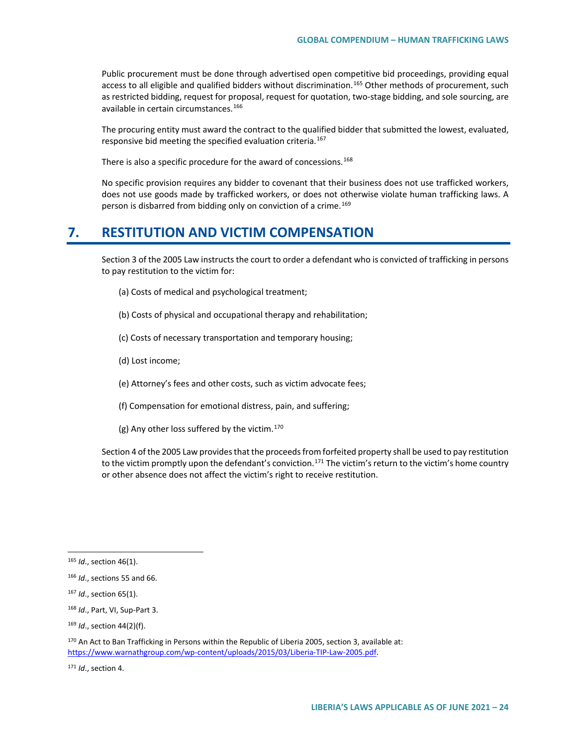Public procurement must be done through advertised open competitive bid proceedings, providing equal access to all eligible and qualified bidders without discrimination.<sup>[165](#page-23-0)</sup> Other methods of procurement, such as restricted bidding, request for proposal, request for quotation, two-stage bidding, and sole sourcing, are available in certain circumstances.<sup>[166](#page-23-1)</sup>

The procuring entity must award the contract to the qualified bidder that submitted the lowest, evaluated, responsive bid meeting the specified evaluation criteria.<sup>[167](#page-23-2)</sup>

There is also a specific procedure for the award of concessions.<sup>[168](#page-23-3)</sup>

No specific provision requires any bidder to covenant that their business does not use trafficked workers, does not use goods made by trafficked workers, or does not otherwise violate human trafficking laws. A person is disbarred from bidding only on conviction of a crime.<sup>[169](#page-23-4)</sup>

# **7. RESTITUTION AND VICTIM COMPENSATION**

Section 3 of the 2005 Law instructs the court to order a defendant who is convicted of trafficking in persons to pay restitution to the victim for:

- (a) Costs of medical and psychological treatment;
- (b) Costs of physical and occupational therapy and rehabilitation;
- (c) Costs of necessary transportation and temporary housing;
- (d) Lost income;
- (e) Attorney's fees and other costs, such as victim advocate fees;
- (f) Compensation for emotional distress, pain, and suffering;
- (g) Any other loss suffered by the victim.<sup>[170](#page-23-5)</sup>

Section 4 of the 2005 Law provides that the proceeds from forfeited property shall be used to pay restitution to the victim promptly upon the defendant's conviction.<sup>[171](#page-23-6)</sup> The victim's return to the victim's home country or other absence does not affect the victim's right to receive restitution.

<span id="page-23-3"></span><sup>168</sup> *Id*., Part, VI, Sup-Part 3.

<span id="page-23-0"></span> <sup>165</sup> *Id*., section 46(1).

<span id="page-23-1"></span><sup>166</sup> *Id*., sections 55 and 66.

<span id="page-23-2"></span><sup>167</sup> *Id*., section 65(1).

<span id="page-23-4"></span><sup>169</sup> *Id*., section 44(2)(f).

<span id="page-23-5"></span><sup>&</sup>lt;sup>170</sup> An Act to Ban Trafficking in Persons within the Republic of Liberia 2005, section 3, available at: [https://www.warnathgroup.com/wp-content/uploads/2015/03/Liberia-TIP-Law-2005.pdf.](https://www.warnathgroup.com/wp-content/uploads/2015/03/Liberia-TIP-Law-2005.pdf)

<span id="page-23-6"></span><sup>171</sup> *Id*., section 4.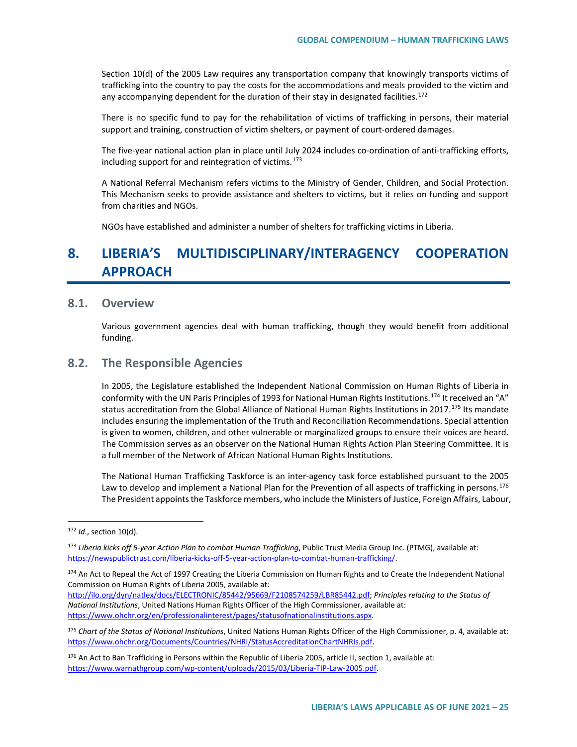Section 10(d) of the 2005 Law requires any transportation company that knowingly transports victims of trafficking into the country to pay the costs for the accommodations and meals provided to the victim and any accompanying dependent for the duration of their stay in designated facilities.<sup>[172](#page-24-0)</sup>

There is no specific fund to pay for the rehabilitation of victims of trafficking in persons, their material support and training, construction of victim shelters, or payment of court-ordered damages.

The five-year national action plan in place until July 2024 includes co-ordination of anti-trafficking efforts, including support for and reintegration of victims.[173](#page-24-1)

A National Referral Mechanism refers victims to the Ministry of Gender, Children, and Social Protection. This Mechanism seeks to provide assistance and shelters to victims, but it relies on funding and support from charities and NGOs.

NGOs have established and administer a number of shelters for trafficking victims in Liberia.

# **8. LIBERIA'S MULTIDISCIPLINARY/INTERAGENCY COOPERATION APPROACH**

### **8.1. Overview**

Various government agencies deal with human trafficking, though they would benefit from additional funding.

### **8.2. The Responsible Agencies**

In 2005, the Legislature established the Independent National Commission on Human Rights of Liberia in conformity with the UN Paris Principles of 1993 for National Human Rights Institutions.<sup>[174](#page-24-2)</sup> It received an "A" status accreditation from the Global Alliance of National Human Rights Institutions in 2017.<sup>[175](#page-24-3)</sup> Its mandate includes ensuring the implementation of the Truth and Reconciliation Recommendations. Special attention is given to women, children, and other vulnerable or marginalized groups to ensure their voices are heard. The Commission serves as an observer on the National Human Rights Action Plan Steering Committee. It is a full member of the Network of African National Human Rights Institutions.

The National Human Trafficking Taskforce is an inter-agency task force established pursuant to the 2005 Law to develop and implement a National Plan for the Prevention of all aspects of trafficking in persons.<sup>[176](#page-24-4)</sup> The President appoints the Taskforce members, who include the Ministers of Justice, Foreign Affairs, Labour,

<span id="page-24-0"></span> <sup>172</sup> *Id*., section 10(d).

<span id="page-24-1"></span><sup>173</sup> *Liberia kicks off 5-year Action Plan to combat Human Trafficking*, Public Trust Media Group Inc. (PTMG), available at: [https://newspublictrust.com/liberia-kicks-off-5-year-action-plan-to-combat-human-trafficking/.](https://newspublictrust.com/liberia-kicks-off-5-year-action-plan-to-combat-human-trafficking/)

<span id="page-24-2"></span><sup>&</sup>lt;sup>174</sup> An Act to Repeal the Act of 1997 Creating the Liberia Commission on Human Rights and to Create the Independent National Commission on Human Rights of Liberia 2005, available at: [http://ilo.org/dyn/natlex/docs/ELECTRONIC/85442/95669/F2108574259/LBR85442.pdf;](http://ilo.org/dyn/natlex/docs/ELECTRONIC/85442/95669/F2108574259/LBR85442.pdf) *Principles relating to the Status of National Institutions*, United Nations Human Rights Officer of the High Commissioner, available at: [https://www.ohchr.org/en/professionalinterest/pages/statusofnationalinstitutions.aspx.](https://www.ohchr.org/en/professionalinterest/pages/statusofnationalinstitutions.aspx) 

<span id="page-24-3"></span><sup>175</sup> *Chart of the Status of National Institutions*, United Nations Human Rights Officer of the High Commissioner, p. 4, available at: [https://www.ohchr.org/Documents/Countries/NHRI/StatusAccreditationChartNHRIs.pdf.](https://www.ohchr.org/Documents/Countries/NHRI/StatusAccreditationChartNHRIs.pdf)

<span id="page-24-4"></span><sup>176</sup> An Act to Ban Trafficking in Persons within the Republic of Liberia 2005, article II, section 1, available at: [https://www.warnathgroup.com/wp-content/uploads/2015/03/Liberia-TIP-Law-2005.pdf.](https://www.warnathgroup.com/wp-content/uploads/2015/03/Liberia-TIP-Law-2005.pdf)